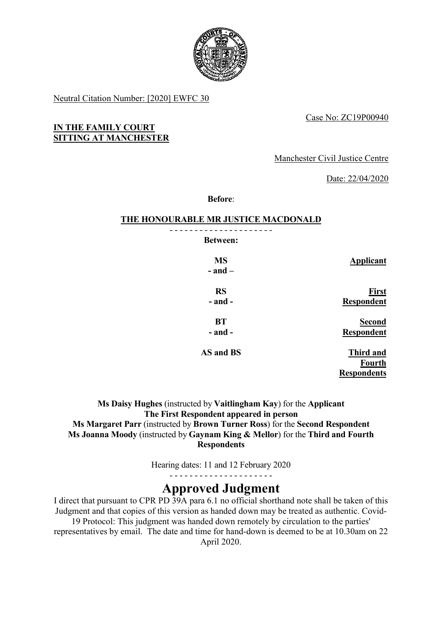

Neutral Citation Number: [2020] EWFC 30

RS

Case No: ZC19P00940

## IN THE FAMILY COURT SITTING AT MANCHESTER

Manchester Civil Justice Centre

Date: 22/04/2020

Before:

# THE HONOURABLE MR JUSTICE MACDONALD

<del>\_\_</del>\_\_\_\_\_\_\_\_\_\_\_\_\_\_\_\_\_\_\_\_\_ Between:

 $-$  and  $-$ 

- and -

**BT** - and -

MS Applicant

First Respondent

> Second **Respondent**

AS and BS

Third and Fourth Respondents

Ms Daisy Hughes (instructed by Vaitlingham Kay) for the Applicant The First Respondent appeared in person Ms Margaret Parr (instructed by Brown Turner Ross) for the Second Respondent Ms Joanna Moody (instructed by Gaynam King & Mellor) for the Third and Fourth **Respondents** 

Hearing dates: 11 and 12 February 2020

- - - - - - - - - - - - - - - - - - - - -

# Approved Judgment

I direct that pursuant to CPR PD 39A para 6.1 no official shorthand note shall be taken of this Judgment and that copies of this version as handed down may be treated as authentic. Covid-19 Protocol: This judgment was handed down remotely by circulation to the parties'

representatives by email. The date and time for hand-down is deemed to be at 10.30am on 22 April 2020.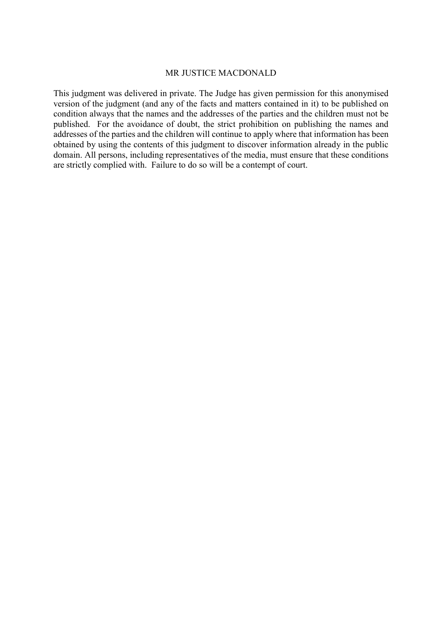#### MR JUSTICE MACDONALD

This judgment was delivered in private. The Judge has given permission for this anonymised version of the judgment (and any of the facts and matters contained in it) to be published on condition always that the names and the addresses of the parties and the children must not be published. For the avoidance of doubt, the strict prohibition on publishing the names and addresses of the parties and the children will continue to apply where that information has been obtained by using the contents of this judgment to discover information already in the public domain. All persons, including representatives of the media, must ensure that these conditions are strictly complied with. Failure to do so will be a contempt of court.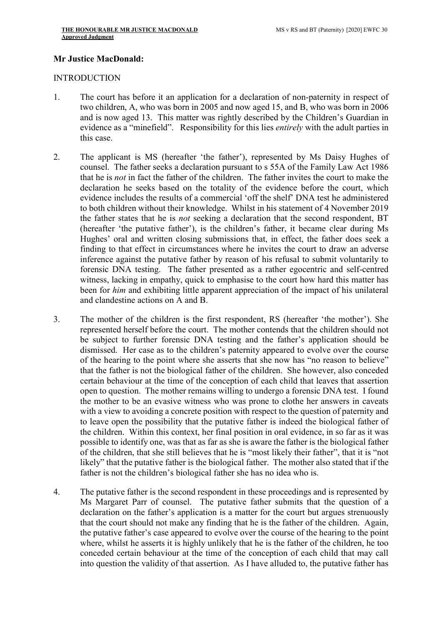## Mr Justice MacDonald:

#### **INTRODUCTION**

- 1. The court has before it an application for a declaration of non-paternity in respect of two children, A, who was born in 2005 and now aged 15, and B, who was born in 2006 and is now aged 13. This matter was rightly described by the Children's Guardian in evidence as a "minefield". Responsibility for this lies entirely with the adult parties in this case.
- 2. The applicant is MS (hereafter 'the father'), represented by Ms Daisy Hughes of counsel. The father seeks a declaration pursuant to s 55A of the Family Law Act 1986 that he is not in fact the father of the children. The father invites the court to make the declaration he seeks based on the totality of the evidence before the court, which evidence includes the results of a commercial 'off the shelf' DNA test he administered to both children without their knowledge. Whilst in his statement of 4 November 2019 the father states that he is not seeking a declaration that the second respondent, BT (hereafter 'the putative father'), is the children's father, it became clear during Ms Hughes' oral and written closing submissions that, in effect, the father does seek a finding to that effect in circumstances where he invites the court to draw an adverse inference against the putative father by reason of his refusal to submit voluntarily to forensic DNA testing. The father presented as a rather egocentric and self-centred witness, lacking in empathy, quick to emphasise to the court how hard this matter has been for *him* and exhibiting little apparent appreciation of the impact of his unilateral and clandestine actions on A and B.
- 3. The mother of the children is the first respondent, RS (hereafter 'the mother'). She represented herself before the court. The mother contends that the children should not be subject to further forensic DNA testing and the father's application should be dismissed. Her case as to the children's paternity appeared to evolve over the course of the hearing to the point where she asserts that she now has "no reason to believe" that the father is not the biological father of the children. She however, also conceded certain behaviour at the time of the conception of each child that leaves that assertion open to question. The mother remains willing to undergo a forensic DNA test. I found the mother to be an evasive witness who was prone to clothe her answers in caveats with a view to avoiding a concrete position with respect to the question of paternity and to leave open the possibility that the putative father is indeed the biological father of the children. Within this context, her final position in oral evidence, in so far as it was possible to identify one, was that as far as she is aware the father is the biological father of the children, that she still believes that he is "most likely their father", that it is "not likely" that the putative father is the biological father. The mother also stated that if the father is not the children's biological father she has no idea who is.
- 4. The putative father is the second respondent in these proceedings and is represented by Ms Margaret Parr of counsel. The putative father submits that the question of a declaration on the father's application is a matter for the court but argues strenuously that the court should not make any finding that he is the father of the children. Again, the putative father's case appeared to evolve over the course of the hearing to the point where, whilst he asserts it is highly unlikely that he is the father of the children, he too conceded certain behaviour at the time of the conception of each child that may call into question the validity of that assertion. As I have alluded to, the putative father has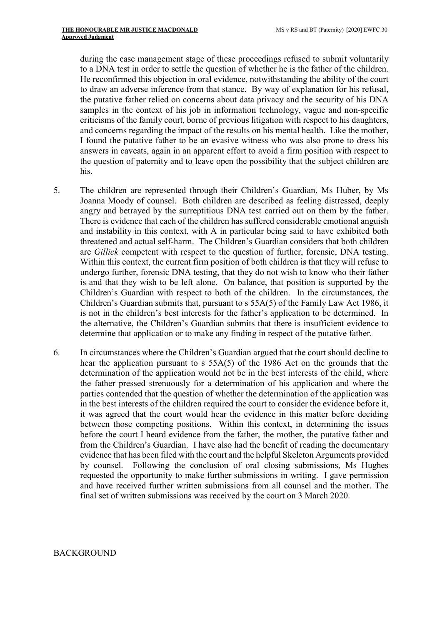during the case management stage of these proceedings refused to submit voluntarily to a DNA test in order to settle the question of whether he is the father of the children. He reconfirmed this objection in oral evidence, notwithstanding the ability of the court to draw an adverse inference from that stance. By way of explanation for his refusal, the putative father relied on concerns about data privacy and the security of his DNA samples in the context of his job in information technology, vague and non-specific criticisms of the family court, borne of previous litigation with respect to his daughters, and concerns regarding the impact of the results on his mental health. Like the mother, I found the putative father to be an evasive witness who was also prone to dress his answers in caveats, again in an apparent effort to avoid a firm position with respect to the question of paternity and to leave open the possibility that the subject children are his.

- 5. The children are represented through their Children's Guardian, Ms Huber, by Ms Joanna Moody of counsel. Both children are described as feeling distressed, deeply angry and betrayed by the surreptitious DNA test carried out on them by the father. There is evidence that each of the children has suffered considerable emotional anguish and instability in this context, with A in particular being said to have exhibited both threatened and actual self-harm. The Children's Guardian considers that both children are Gillick competent with respect to the question of further, forensic, DNA testing. Within this context, the current firm position of both children is that they will refuse to undergo further, forensic DNA testing, that they do not wish to know who their father is and that they wish to be left alone. On balance, that position is supported by the Children's Guardian with respect to both of the children. In the circumstances, the Children's Guardian submits that, pursuant to s 55A(5) of the Family Law Act 1986, it is not in the children's best interests for the father's application to be determined. In the alternative, the Children's Guardian submits that there is insufficient evidence to determine that application or to make any finding in respect of the putative father.
- 6. In circumstances where the Children's Guardian argued that the court should decline to hear the application pursuant to s 55A(5) of the 1986 Act on the grounds that the determination of the application would not be in the best interests of the child, where the father pressed strenuously for a determination of his application and where the parties contended that the question of whether the determination of the application was in the best interests of the children required the court to consider the evidence before it, it was agreed that the court would hear the evidence in this matter before deciding between those competing positions. Within this context, in determining the issues before the court I heard evidence from the father, the mother, the putative father and from the Children's Guardian. I have also had the benefit of reading the documentary evidence that has been filed with the court and the helpful Skeleton Arguments provided by counsel. Following the conclusion of oral closing submissions, Ms Hughes requested the opportunity to make further submissions in writing. I gave permission and have received further written submissions from all counsel and the mother. The final set of written submissions was received by the court on 3 March 2020.

BACKGROUND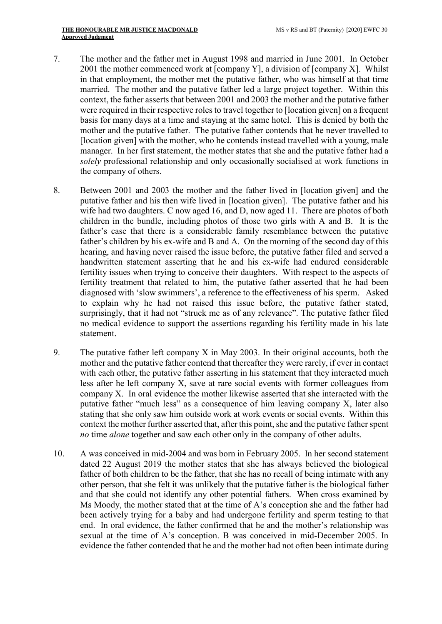- 7. The mother and the father met in August 1998 and married in June 2001. In October 2001 the mother commenced work at  $[company Y]$ , a division of  $[company X]$ . Whilst in that employment, the mother met the putative father, who was himself at that time married. The mother and the putative father led a large project together. Within this context, the father asserts that between 2001 and 2003 the mother and the putative father were required in their respective roles to travel together to [location given] on a frequent basis for many days at a time and staying at the same hotel. This is denied by both the mother and the putative father. The putative father contends that he never travelled to [location given] with the mother, who he contends instead travelled with a young, male manager. In her first statement, the mother states that she and the putative father had a solely professional relationship and only occasionally socialised at work functions in the company of others.
- 8. Between 2001 and 2003 the mother and the father lived in [location given] and the putative father and his then wife lived in [location given]. The putative father and his wife had two daughters. C now aged 16, and D, now aged 11. There are photos of both children in the bundle, including photos of those two girls with A and B. It is the father's case that there is a considerable family resemblance between the putative father's children by his ex-wife and B and A. On the morning of the second day of this hearing, and having never raised the issue before, the putative father filed and served a handwritten statement asserting that he and his ex-wife had endured considerable fertility issues when trying to conceive their daughters. With respect to the aspects of fertility treatment that related to him, the putative father asserted that he had been diagnosed with 'slow swimmers', a reference to the effectiveness of his sperm. Asked to explain why he had not raised this issue before, the putative father stated, surprisingly, that it had not "struck me as of any relevance". The putative father filed no medical evidence to support the assertions regarding his fertility made in his late statement.
- 9. The putative father left company X in May 2003. In their original accounts, both the mother and the putative father contend that thereafter they were rarely, if ever in contact with each other, the putative father asserting in his statement that they interacted much less after he left company X, save at rare social events with former colleagues from company X. In oral evidence the mother likewise asserted that she interacted with the putative father "much less" as a consequence of him leaving company X, later also stating that she only saw him outside work at work events or social events. Within this context the mother further asserted that, after this point, she and the putative father spent no time *alone* together and saw each other only in the company of other adults.
- 10. A was conceived in mid-2004 and was born in February 2005. In her second statement dated 22 August 2019 the mother states that she has always believed the biological father of both children to be the father, that she has no recall of being intimate with any other person, that she felt it was unlikely that the putative father is the biological father and that she could not identify any other potential fathers. When cross examined by Ms Moody, the mother stated that at the time of A's conception she and the father had been actively trying for a baby and had undergone fertility and sperm testing to that end. In oral evidence, the father confirmed that he and the mother's relationship was sexual at the time of A's conception. B was conceived in mid-December 2005. In evidence the father contended that he and the mother had not often been intimate during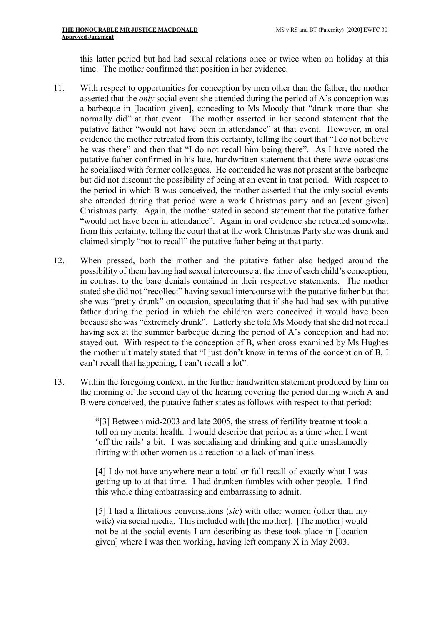this latter period but had had sexual relations once or twice when on holiday at this time. The mother confirmed that position in her evidence.

- 11. With respect to opportunities for conception by men other than the father, the mother asserted that the only social event she attended during the period of A's conception was a barbeque in [location given], conceding to Ms Moody that "drank more than she normally did" at that event. The mother asserted in her second statement that the putative father "would not have been in attendance" at that event. However, in oral evidence the mother retreated from this certainty, telling the court that "I do not believe he was there" and then that "I do not recall him being there". As I have noted the putative father confirmed in his late, handwritten statement that there were occasions he socialised with former colleagues. He contended he was not present at the barbeque but did not discount the possibility of being at an event in that period. With respect to the period in which B was conceived, the mother asserted that the only social events she attended during that period were a work Christmas party and an [event given] Christmas party. Again, the mother stated in second statement that the putative father "would not have been in attendance". Again in oral evidence she retreated somewhat from this certainty, telling the court that at the work Christmas Party she was drunk and claimed simply "not to recall" the putative father being at that party.
- 12. When pressed, both the mother and the putative father also hedged around the possibility of them having had sexual intercourse at the time of each child's conception, in contrast to the bare denials contained in their respective statements. The mother stated she did not "recollect" having sexual intercourse with the putative father but that she was "pretty drunk" on occasion, speculating that if she had had sex with putative father during the period in which the children were conceived it would have been because she was "extremely drunk". Latterly she told Ms Moody that she did not recall having sex at the summer barbeque during the period of A's conception and had not stayed out. With respect to the conception of B, when cross examined by Ms Hughes the mother ultimately stated that "I just don't know in terms of the conception of B, I can't recall that happening, I can't recall a lot".
- 13. Within the foregoing context, in the further handwritten statement produced by him on the morning of the second day of the hearing covering the period during which A and B were conceived, the putative father states as follows with respect to that period:

"[3] Between mid-2003 and late 2005, the stress of fertility treatment took a toll on my mental health. I would describe that period as a time when I went 'off the rails' a bit. I was socialising and drinking and quite unashamedly flirting with other women as a reaction to a lack of manliness.

[4] I do not have anywhere near a total or full recall of exactly what I was getting up to at that time. I had drunken fumbles with other people. I find this whole thing embarrassing and embarrassing to admit.

[5] I had a flirtatious conversations (sic) with other women (other than my wife) via social media. This included with [the mother]. [The mother] would not be at the social events I am describing as these took place in [location given] where I was then working, having left company X in May 2003.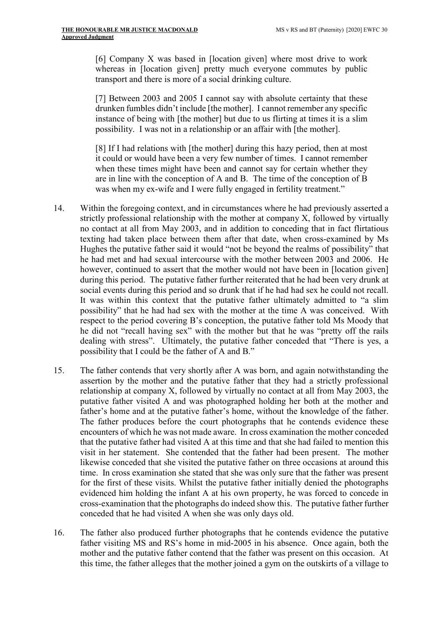[6] Company X was based in [location given] where most drive to work whereas in [location given] pretty much everyone commutes by public transport and there is more of a social drinking culture.

[7] Between 2003 and 2005 I cannot say with absolute certainty that these drunken fumbles didn't include [the mother]. I cannot remember any specific instance of being with [the mother] but due to us flirting at times it is a slim possibility. I was not in a relationship or an affair with [the mother].

[8] If I had relations with [the mother] during this hazy period, then at most it could or would have been a very few number of times. I cannot remember when these times might have been and cannot say for certain whether they are in line with the conception of A and B. The time of the conception of B was when my ex-wife and I were fully engaged in fertility treatment."

- 14. Within the foregoing context, and in circumstances where he had previously asserted a strictly professional relationship with the mother at company X, followed by virtually no contact at all from May 2003, and in addition to conceding that in fact flirtatious texting had taken place between them after that date, when cross-examined by Ms Hughes the putative father said it would "not be beyond the realms of possibility" that he had met and had sexual intercourse with the mother between 2003 and 2006. He however, continued to assert that the mother would not have been in [location given] during this period. The putative father further reiterated that he had been very drunk at social events during this period and so drunk that if he had had sex he could not recall. It was within this context that the putative father ultimately admitted to "a slim possibility" that he had had sex with the mother at the time A was conceived. With respect to the period covering B's conception, the putative father told Ms Moody that he did not "recall having sex" with the mother but that he was "pretty off the rails dealing with stress". Ultimately, the putative father conceded that "There is yes, a possibility that I could be the father of A and B."
- 15. The father contends that very shortly after A was born, and again notwithstanding the assertion by the mother and the putative father that they had a strictly professional relationship at company X, followed by virtually no contact at all from May 2003, the putative father visited A and was photographed holding her both at the mother and father's home and at the putative father's home, without the knowledge of the father. The father produces before the court photographs that he contends evidence these encounters of which he was not made aware. In cross examination the mother conceded that the putative father had visited A at this time and that she had failed to mention this visit in her statement. She contended that the father had been present. The mother likewise conceded that she visited the putative father on three occasions at around this time. In cross examination she stated that she was only sure that the father was present for the first of these visits. Whilst the putative father initially denied the photographs evidenced him holding the infant A at his own property, he was forced to concede in cross-examination that the photographs do indeed show this. The putative father further conceded that he had visited A when she was only days old.
- 16. The father also produced further photographs that he contends evidence the putative father visiting MS and RS's home in mid-2005 in his absence. Once again, both the mother and the putative father contend that the father was present on this occasion. At this time, the father alleges that the mother joined a gym on the outskirts of a village to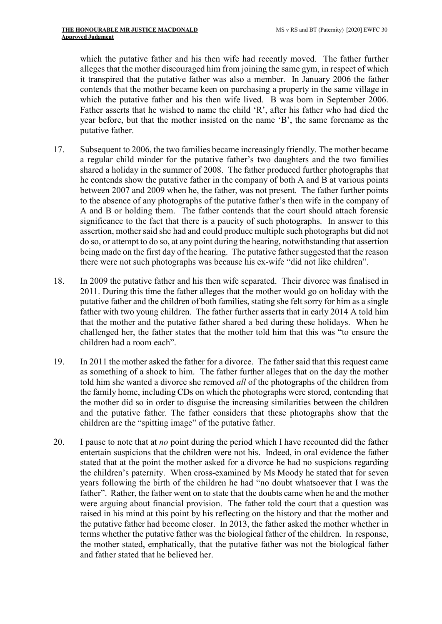which the putative father and his then wife had recently moved. The father further alleges that the mother discouraged him from joining the same gym, in respect of which it transpired that the putative father was also a member. In January 2006 the father contends that the mother became keen on purchasing a property in the same village in which the putative father and his then wife lived. B was born in September 2006. Father asserts that he wished to name the child 'R', after his father who had died the year before, but that the mother insisted on the name 'B', the same forename as the putative father.

- 17. Subsequent to 2006, the two families became increasingly friendly. The mother became a regular child minder for the putative father's two daughters and the two families shared a holiday in the summer of 2008. The father produced further photographs that he contends show the putative father in the company of both A and B at various points between 2007 and 2009 when he, the father, was not present. The father further points to the absence of any photographs of the putative father's then wife in the company of A and B or holding them. The father contends that the court should attach forensic significance to the fact that there is a paucity of such photographs. In answer to this assertion, mother said she had and could produce multiple such photographs but did not do so, or attempt to do so, at any point during the hearing, notwithstanding that assertion being made on the first day of the hearing. The putative father suggested that the reason there were not such photographs was because his ex-wife "did not like children".
- 18. In 2009 the putative father and his then wife separated. Their divorce was finalised in 2011. During this time the father alleges that the mother would go on holiday with the putative father and the children of both families, stating she felt sorry for him as a single father with two young children. The father further asserts that in early 2014 A told him that the mother and the putative father shared a bed during these holidays. When he challenged her, the father states that the mother told him that this was "to ensure the children had a room each".
- 19. In 2011 the mother asked the father for a divorce. The father said that this request came as something of a shock to him. The father further alleges that on the day the mother told him she wanted a divorce she removed *all* of the photographs of the children from the family home, including CDs on which the photographs were stored, contending that the mother did so in order to disguise the increasing similarities between the children and the putative father. The father considers that these photographs show that the children are the "spitting image" of the putative father.
- 20. I pause to note that at *no* point during the period which I have recounted did the father entertain suspicions that the children were not his. Indeed, in oral evidence the father stated that at the point the mother asked for a divorce he had no suspicions regarding the children's paternity. When cross-examined by Ms Moody he stated that for seven years following the birth of the children he had "no doubt whatsoever that I was the father". Rather, the father went on to state that the doubts came when he and the mother were arguing about financial provision. The father told the court that a question was raised in his mind at this point by his reflecting on the history and that the mother and the putative father had become closer. In 2013, the father asked the mother whether in terms whether the putative father was the biological father of the children. In response, the mother stated, emphatically, that the putative father was not the biological father and father stated that he believed her.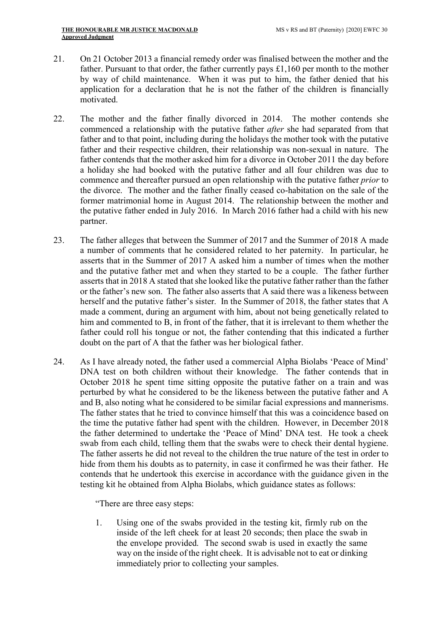- 21. On 21 October 2013 a financial remedy order was finalised between the mother and the father. Pursuant to that order, the father currently pays £1,160 per month to the mother by way of child maintenance. When it was put to him, the father denied that his application for a declaration that he is not the father of the children is financially motivated.
- 22. The mother and the father finally divorced in 2014. The mother contends she commenced a relationship with the putative father after she had separated from that father and to that point, including during the holidays the mother took with the putative father and their respective children, their relationship was non-sexual in nature. The father contends that the mother asked him for a divorce in October 2011 the day before a holiday she had booked with the putative father and all four children was due to commence and thereafter pursued an open relationship with the putative father prior to the divorce. The mother and the father finally ceased co-habitation on the sale of the former matrimonial home in August 2014. The relationship between the mother and the putative father ended in July 2016. In March 2016 father had a child with his new partner.
- 23. The father alleges that between the Summer of 2017 and the Summer of 2018 A made a number of comments that he considered related to her paternity. In particular, he asserts that in the Summer of 2017 A asked him a number of times when the mother and the putative father met and when they started to be a couple. The father further asserts that in 2018 A stated that she looked like the putative father rather than the father or the father's new son. The father also asserts that A said there was a likeness between herself and the putative father's sister. In the Summer of 2018, the father states that A made a comment, during an argument with him, about not being genetically related to him and commented to B, in front of the father, that it is irrelevant to them whether the father could roll his tongue or not, the father contending that this indicated a further doubt on the part of A that the father was her biological father.
- 24. As I have already noted, the father used a commercial Alpha Biolabs 'Peace of Mind' DNA test on both children without their knowledge. The father contends that in October 2018 he spent time sitting opposite the putative father on a train and was perturbed by what he considered to be the likeness between the putative father and A and B, also noting what he considered to be similar facial expressions and mannerisms. The father states that he tried to convince himself that this was a coincidence based on the time the putative father had spent with the children. However, in December 2018 the father determined to undertake the 'Peace of Mind' DNA test. He took a cheek swab from each child, telling them that the swabs were to check their dental hygiene. The father asserts he did not reveal to the children the true nature of the test in order to hide from them his doubts as to paternity, in case it confirmed he was their father. He contends that he undertook this exercise in accordance with the guidance given in the testing kit he obtained from Alpha Biolabs, which guidance states as follows:

"There are three easy steps:

1. Using one of the swabs provided in the testing kit, firmly rub on the inside of the left cheek for at least 20 seconds; then place the swab in the envelope provided. The second swab is used in exactly the same way on the inside of the right cheek. It is advisable not to eat or dinking immediately prior to collecting your samples.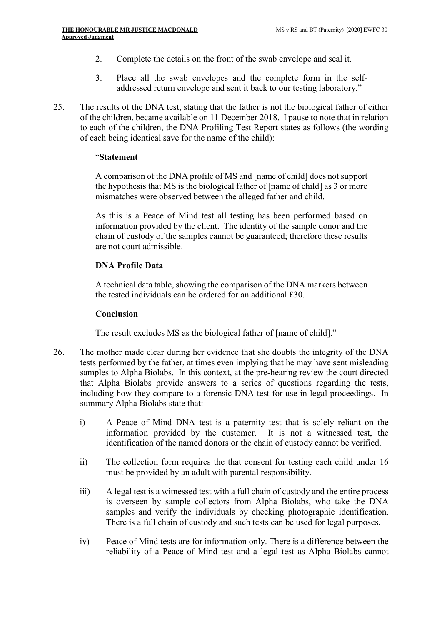- 2. Complete the details on the front of the swab envelope and seal it.
- 3. Place all the swab envelopes and the complete form in the selfaddressed return envelope and sent it back to our testing laboratory."
- 25. The results of the DNA test, stating that the father is not the biological father of either of the children, became available on 11 December 2018. I pause to note that in relation to each of the children, the DNA Profiling Test Report states as follows (the wording of each being identical save for the name of the child):

#### "Statement

A comparison of the DNA profile of MS and [name of child] does not support the hypothesis that MS is the biological father of [name of child] as 3 or more mismatches were observed between the alleged father and child.

As this is a Peace of Mind test all testing has been performed based on information provided by the client. The identity of the sample donor and the chain of custody of the samples cannot be guaranteed; therefore these results are not court admissible.

## DNA Profile Data

A technical data table, showing the comparison of the DNA markers between the tested individuals can be ordered for an additional £30.

### Conclusion

The result excludes MS as the biological father of [name of child]."

- 26. The mother made clear during her evidence that she doubts the integrity of the DNA tests performed by the father, at times even implying that he may have sent misleading samples to Alpha Biolabs. In this context, at the pre-hearing review the court directed that Alpha Biolabs provide answers to a series of questions regarding the tests, including how they compare to a forensic DNA test for use in legal proceedings. In summary Alpha Biolabs state that:
	- i) A Peace of Mind DNA test is a paternity test that is solely reliant on the information provided by the customer. It is not a witnessed test, the identification of the named donors or the chain of custody cannot be verified.
	- ii) The collection form requires the that consent for testing each child under 16 must be provided by an adult with parental responsibility.
	- iii) A legal test is a witnessed test with a full chain of custody and the entire process is overseen by sample collectors from Alpha Biolabs, who take the DNA samples and verify the individuals by checking photographic identification. There is a full chain of custody and such tests can be used for legal purposes.
	- iv) Peace of Mind tests are for information only. There is a difference between the reliability of a Peace of Mind test and a legal test as Alpha Biolabs cannot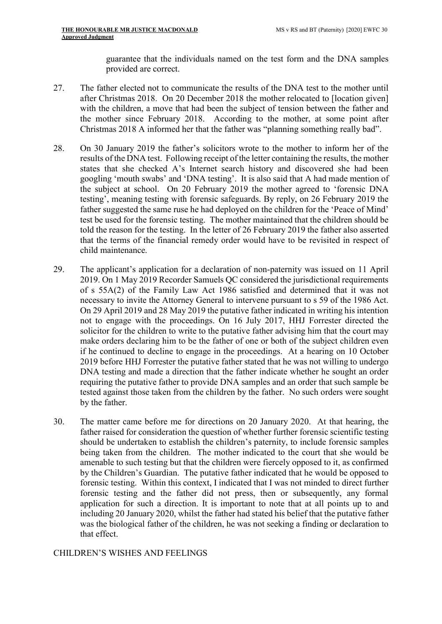guarantee that the individuals named on the test form and the DNA samples provided are correct.

- 27. The father elected not to communicate the results of the DNA test to the mother until after Christmas 2018. On 20 December 2018 the mother relocated to [location given] with the children, a move that had been the subject of tension between the father and the mother since February 2018. According to the mother, at some point after Christmas 2018 A informed her that the father was "planning something really bad".
- 28. On 30 January 2019 the father's solicitors wrote to the mother to inform her of the results of the DNA test. Following receipt of the letter containing the results, the mother states that she checked A's Internet search history and discovered she had been googling 'mouth swabs' and 'DNA testing'. It is also said that A had made mention of the subject at school. On 20 February 2019 the mother agreed to 'forensic DNA testing', meaning testing with forensic safeguards. By reply, on 26 February 2019 the father suggested the same ruse he had deployed on the children for the 'Peace of Mind' test be used for the forensic testing. The mother maintained that the children should be told the reason for the testing. In the letter of 26 February 2019 the father also asserted that the terms of the financial remedy order would have to be revisited in respect of child maintenance.
- 29. The applicant's application for a declaration of non-paternity was issued on 11 April 2019. On 1 May 2019 Recorder Samuels QC considered the jurisdictional requirements of s 55A(2) of the Family Law Act 1986 satisfied and determined that it was not necessary to invite the Attorney General to intervene pursuant to s 59 of the 1986 Act. On 29 April 2019 and 28 May 2019 the putative father indicated in writing his intention not to engage with the proceedings. On 16 July 2017, HHJ Forrester directed the solicitor for the children to write to the putative father advising him that the court may make orders declaring him to be the father of one or both of the subject children even if he continued to decline to engage in the proceedings. At a hearing on 10 October 2019 before HHJ Forrester the putative father stated that he was not willing to undergo DNA testing and made a direction that the father indicate whether he sought an order requiring the putative father to provide DNA samples and an order that such sample be tested against those taken from the children by the father. No such orders were sought by the father.
- 30. The matter came before me for directions on 20 January 2020. At that hearing, the father raised for consideration the question of whether further forensic scientific testing should be undertaken to establish the children's paternity, to include forensic samples being taken from the children. The mother indicated to the court that she would be amenable to such testing but that the children were fiercely opposed to it, as confirmed by the Children's Guardian. The putative father indicated that he would be opposed to forensic testing. Within this context, I indicated that I was not minded to direct further forensic testing and the father did not press, then or subsequently, any formal application for such a direction. It is important to note that at all points up to and including 20 January 2020, whilst the father had stated his belief that the putative father was the biological father of the children, he was not seeking a finding or declaration to that effect.

## CHILDREN'S WISHES AND FEELINGS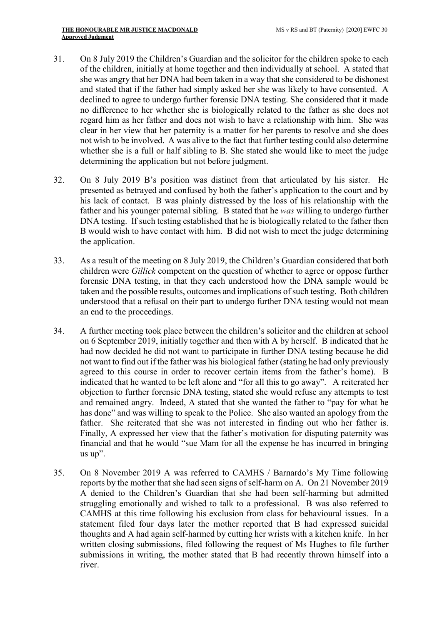- 31. On 8 July 2019 the Children's Guardian and the solicitor for the children spoke to each of the children, initially at home together and then individually at school. A stated that she was angry that her DNA had been taken in a way that she considered to be dishonest and stated that if the father had simply asked her she was likely to have consented. A declined to agree to undergo further forensic DNA testing. She considered that it made no difference to her whether she is biologically related to the father as she does not regard him as her father and does not wish to have a relationship with him. She was clear in her view that her paternity is a matter for her parents to resolve and she does not wish to be involved. A was alive to the fact that further testing could also determine whether she is a full or half sibling to B. She stated she would like to meet the judge determining the application but not before judgment.
- 32. On 8 July 2019 B's position was distinct from that articulated by his sister. He presented as betrayed and confused by both the father's application to the court and by his lack of contact. B was plainly distressed by the loss of his relationship with the father and his younger paternal sibling. B stated that he was willing to undergo further DNA testing. If such testing established that he is biologically related to the father then B would wish to have contact with him. B did not wish to meet the judge determining the application.
- 33. As a result of the meeting on 8 July 2019, the Children's Guardian considered that both children were Gillick competent on the question of whether to agree or oppose further forensic DNA testing, in that they each understood how the DNA sample would be taken and the possible results, outcomes and implications of such testing. Both children understood that a refusal on their part to undergo further DNA testing would not mean an end to the proceedings.
- 34. A further meeting took place between the children's solicitor and the children at school on 6 September 2019, initially together and then with A by herself. B indicated that he had now decided he did not want to participate in further DNA testing because he did not want to find out if the father was his biological father (stating he had only previously agreed to this course in order to recover certain items from the father's home). B indicated that he wanted to be left alone and "for all this to go away". A reiterated her objection to further forensic DNA testing, stated she would refuse any attempts to test and remained angry. Indeed, A stated that she wanted the father to "pay for what he has done" and was willing to speak to the Police. She also wanted an apology from the father. She reiterated that she was not interested in finding out who her father is. Finally, A expressed her view that the father's motivation for disputing paternity was financial and that he would "sue Mam for all the expense he has incurred in bringing us up".
- 35. On 8 November 2019 A was referred to CAMHS / Barnardo's My Time following reports by the mother that she had seen signs of self-harm on A. On 21 November 2019 A denied to the Children's Guardian that she had been self-harming but admitted struggling emotionally and wished to talk to a professional. B was also referred to CAMHS at this time following his exclusion from class for behavioural issues. In a statement filed four days later the mother reported that B had expressed suicidal thoughts and A had again self-harmed by cutting her wrists with a kitchen knife. In her written closing submissions, filed following the request of Ms Hughes to file further submissions in writing, the mother stated that B had recently thrown himself into a river.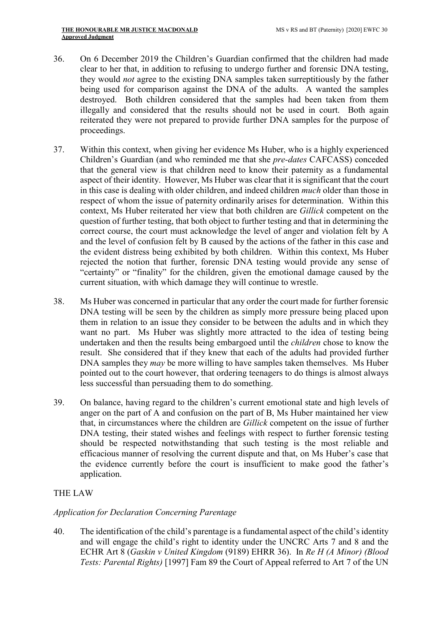- 36. On 6 December 2019 the Children's Guardian confirmed that the children had made clear to her that, in addition to refusing to undergo further and forensic DNA testing, they would not agree to the existing DNA samples taken surreptitiously by the father being used for comparison against the DNA of the adults. A wanted the samples destroyed. Both children considered that the samples had been taken from them illegally and considered that the results should not be used in court. Both again reiterated they were not prepared to provide further DNA samples for the purpose of proceedings.
- 37. Within this context, when giving her evidence Ms Huber, who is a highly experienced Children's Guardian (and who reminded me that she pre-dates CAFCASS) conceded that the general view is that children need to know their paternity as a fundamental aspect of their identity. However, Ms Huber was clear that it is significant that the court in this case is dealing with older children, and indeed children much older than those in respect of whom the issue of paternity ordinarily arises for determination. Within this context, Ms Huber reiterated her view that both children are Gillick competent on the question of further testing, that both object to further testing and that in determining the correct course, the court must acknowledge the level of anger and violation felt by A and the level of confusion felt by B caused by the actions of the father in this case and the evident distress being exhibited by both children. Within this context, Ms Huber rejected the notion that further, forensic DNA testing would provide any sense of "certainty" or "finality" for the children, given the emotional damage caused by the current situation, with which damage they will continue to wrestle.
- 38. Ms Huber was concerned in particular that any order the court made for further forensic DNA testing will be seen by the children as simply more pressure being placed upon them in relation to an issue they consider to be between the adults and in which they want no part. Ms Huber was slightly more attracted to the idea of testing being undertaken and then the results being embargoed until the children chose to know the result. She considered that if they knew that each of the adults had provided further DNA samples they *may* be more willing to have samples taken themselves. Ms Huber pointed out to the court however, that ordering teenagers to do things is almost always less successful than persuading them to do something.
- 39. On balance, having regard to the children's current emotional state and high levels of anger on the part of A and confusion on the part of B, Ms Huber maintained her view that, in circumstances where the children are Gillick competent on the issue of further DNA testing, their stated wishes and feelings with respect to further forensic testing should be respected notwithstanding that such testing is the most reliable and efficacious manner of resolving the current dispute and that, on Ms Huber's case that the evidence currently before the court is insufficient to make good the father's application.

# THE LAW

## Application for Declaration Concerning Parentage

40. The identification of the child's parentage is a fundamental aspect of the child's identity and will engage the child's right to identity under the UNCRC Arts 7 and 8 and the ECHR Art 8 (Gaskin v United Kingdom (9189) EHRR 36). In Re H (A Minor) (Blood Tests: Parental Rights) [1997] Fam 89 the Court of Appeal referred to Art 7 of the UN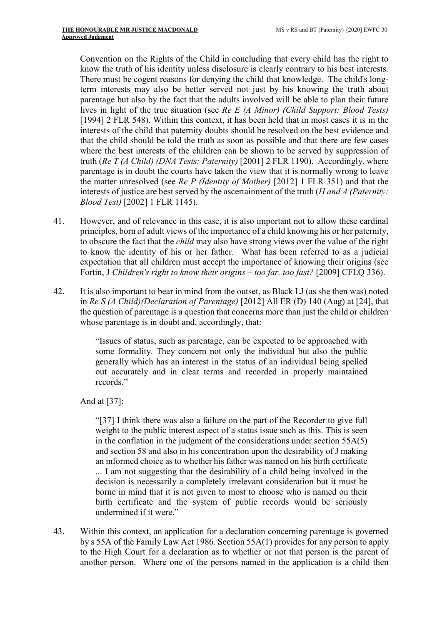Convention on the Rights of the Child in concluding that every child has the right to know the truth of his identity unless disclosure is clearly contrary to his best interests. There must be cogent reasons for denying the child that knowledge. The child's longterm interests may also be better served not just by his knowing the truth about parentage but also by the fact that the adults involved will be able to plan their future lives in light of the true situation (see Re E (A Minor) (Child Support: Blood Tests) [1994] 2 FLR 548). Within this context, it has been held that in most cases it is in the interests of the child that paternity doubts should be resolved on the best evidence and that the child should be told the truth as soon as possible and that there are few cases where the best interests of the children can be shown to be served by suppression of truth (Re T (A Child) (DNA Tests: Paternity) [2001] 2 FLR 1190). Accordingly, where parentage is in doubt the courts have taken the view that it is normally wrong to leave the matter unresolved (see Re P (Identity of Mother) [2012] 1 FLR 351) and that the interests of justice are best served by the ascertainment of the truth  $(H \text{ and } A \text{ } (P \text{ at} \text{ } h)$ Blood Test) [2002] 1 FLR 1145).

- 41. However, and of relevance in this case, it is also important not to allow these cardinal principles, born of adult views of the importance of a child knowing his or her paternity, to obscure the fact that the child may also have strong views over the value of the right to know the identity of his or her father. What has been referred to as a judicial expectation that all children must accept the importance of knowing their origins (see Fortin, J Children's right to know their origins – too far, too fast? [2009] CFLQ 336).
- 42. It is also important to bear in mind from the outset, as Black LJ (as she then was) noted in Re S (A Child)(Declaration of Parentage) [2012] All ER (D) 140 (Aug) at [24], that the question of parentage is a question that concerns more than just the child or children whose parentage is in doubt and, accordingly, that:

"Issues of status, such as parentage, can be expected to be approached with some formality. They concern not only the individual but also the public generally which has an interest in the status of an individual being spelled out accurately and in clear terms and recorded in properly maintained records."

And at [37]:

"[37] I think there was also a failure on the part of the Recorder to give full weight to the public interest aspect of a status issue such as this. This is seen in the conflation in the judgment of the considerations under section 55A(5) and section 58 and also in his concentration upon the desirability of J making an informed choice as to whether his father was named on his birth certificate ... I am not suggesting that the desirability of a child being involved in the decision is necessarily a completely irrelevant consideration but it must be borne in mind that it is not given to most to choose who is named on their birth certificate and the system of public records would be seriously undermined if it were."

43. Within this context, an application for a declaration concerning parentage is governed by s 55A of the Family Law Act 1986. Section 55A(1) provides for any person to apply to the High Court for a declaration as to whether or not that person is the parent of another person. Where one of the persons named in the application is a child then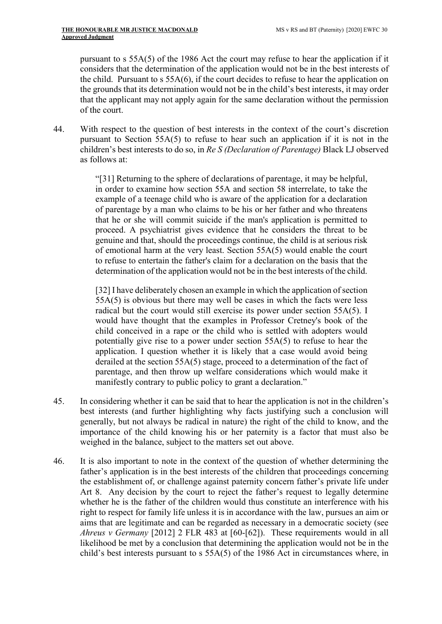pursuant to s 55A(5) of the 1986 Act the court may refuse to hear the application if it considers that the determination of the application would not be in the best interests of the child. Pursuant to  $s$  55A(6), if the court decides to refuse to hear the application on the grounds that its determination would not be in the child's best interests, it may order that the applicant may not apply again for the same declaration without the permission of the court.

44. With respect to the question of best interests in the context of the court's discretion pursuant to Section 55A(5) to refuse to hear such an application if it is not in the children's best interests to do so, in Re S (Declaration of Parentage) Black LJ observed as follows at:

> "[31] Returning to the sphere of declarations of parentage, it may be helpful, in order to examine how section 55A and section 58 interrelate, to take the example of a teenage child who is aware of the application for a declaration of parentage by a man who claims to be his or her father and who threatens that he or she will commit suicide if the man's application is permitted to proceed. A psychiatrist gives evidence that he considers the threat to be genuine and that, should the proceedings continue, the child is at serious risk of emotional harm at the very least. Section 55A(5) would enable the court to refuse to entertain the father's claim for a declaration on the basis that the determination of the application would not be in the best interests of the child.

> [32] I have deliberately chosen an example in which the application of section 55A(5) is obvious but there may well be cases in which the facts were less radical but the court would still exercise its power under section 55A(5). I would have thought that the examples in Professor Cretney's book of the child conceived in a rape or the child who is settled with adopters would potentially give rise to a power under section 55A(5) to refuse to hear the application. I question whether it is likely that a case would avoid being derailed at the section 55A(5) stage, proceed to a determination of the fact of parentage, and then throw up welfare considerations which would make it manifestly contrary to public policy to grant a declaration."

- 45. In considering whether it can be said that to hear the application is not in the children's best interests (and further highlighting why facts justifying such a conclusion will generally, but not always be radical in nature) the right of the child to know, and the importance of the child knowing his or her paternity is a factor that must also be weighed in the balance, subject to the matters set out above.
- 46. It is also important to note in the context of the question of whether determining the father's application is in the best interests of the children that proceedings concerning the establishment of, or challenge against paternity concern father's private life under Art 8. Any decision by the court to reject the father's request to legally determine whether he is the father of the children would thus constitute an interference with his right to respect for family life unless it is in accordance with the law, pursues an aim or aims that are legitimate and can be regarded as necessary in a democratic society (see Ahreus v Germany [2012] 2 FLR 483 at [60-[62]). These requirements would in all likelihood be met by a conclusion that determining the application would not be in the child's best interests pursuant to s 55A(5) of the 1986 Act in circumstances where, in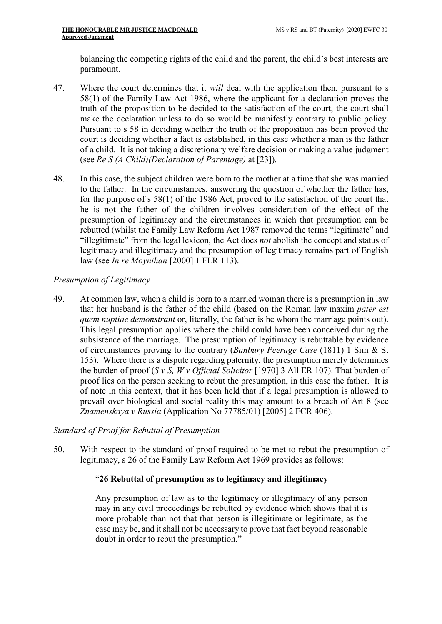balancing the competing rights of the child and the parent, the child's best interests are paramount.

- 47. Where the court determines that it will deal with the application then, pursuant to s 58(1) of the Family Law Act 1986, where the applicant for a declaration proves the truth of the proposition to be decided to the satisfaction of the court, the court shall make the declaration unless to do so would be manifestly contrary to public policy. Pursuant to s 58 in deciding whether the truth of the proposition has been proved the court is deciding whether a fact is established, in this case whether a man is the father of a child. It is not taking a discretionary welfare decision or making a value judgment (see Re S (A Child)(Declaration of Parentage) at [23]).
- 48. In this case, the subject children were born to the mother at a time that she was married to the father. In the circumstances, answering the question of whether the father has, for the purpose of s 58(1) of the 1986 Act, proved to the satisfaction of the court that he is not the father of the children involves consideration of the effect of the presumption of legitimacy and the circumstances in which that presumption can be rebutted (whilst the Family Law Reform Act 1987 removed the terms "legitimate" and "illegitimate" from the legal lexicon, the Act does not abolish the concept and status of legitimacy and illegitimacy and the presumption of legitimacy remains part of English law (see In re Moynihan [2000] 1 FLR 113).

# Presumption of Legitimacy

49. At common law, when a child is born to a married woman there is a presumption in law that her husband is the father of the child (based on the Roman law maxim pater est quem nuptiae demonstrant or, literally, the father is he whom the marriage points out). This legal presumption applies where the child could have been conceived during the subsistence of the marriage. The presumption of legitimacy is rebuttable by evidence of circumstances proving to the contrary (Banbury Peerage Case (1811) 1 Sim & St 153). Where there is a dispute regarding paternity, the presumption merely determines the burden of proof (S v S, W v Official Solicitor [1970] 3 All ER 107). That burden of proof lies on the person seeking to rebut the presumption, in this case the father. It is of note in this context, that it has been held that if a legal presumption is allowed to prevail over biological and social reality this may amount to a breach of Art 8 (see Znamenskaya v Russia (Application No 77785/01) [2005] 2 FCR 406).

## Standard of Proof for Rebuttal of Presumption

50. With respect to the standard of proof required to be met to rebut the presumption of legitimacy, s 26 of the Family Law Reform Act 1969 provides as follows:

## "26 Rebuttal of presumption as to legitimacy and illegitimacy

Any presumption of law as to the legitimacy or illegitimacy of any person may in any civil proceedings be rebutted by evidence which shows that it is more probable than not that that person is illegitimate or legitimate, as the case may be, and it shall not be necessary to prove that fact beyond reasonable doubt in order to rebut the presumption."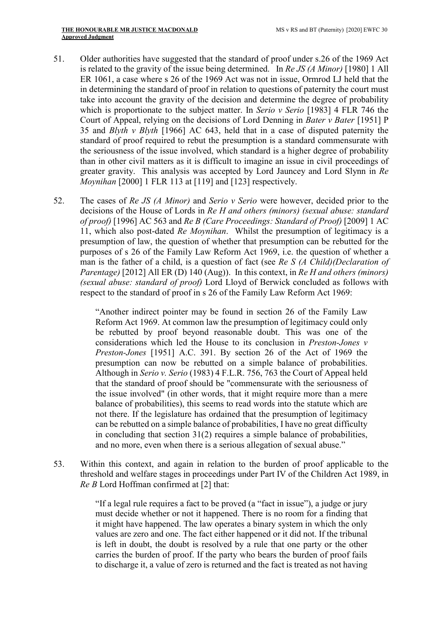- 51. Older authorities have suggested that the standard of proof under s.26 of the 1969 Act is related to the gravity of the issue being determined. In Re JS (A Minor) [1980] 1 All ER 1061, a case where s 26 of the 1969 Act was not in issue, Ormrod LJ held that the in determining the standard of proof in relation to questions of paternity the court must take into account the gravity of the decision and determine the degree of probability which is proportionate to the subject matter. In *Serio* v *Serio* [1983] 4 FLR 746 the Court of Appeal, relying on the decisions of Lord Denning in Bater v Bater [1951] P 35 and Blyth v Blyth [1966] AC 643, held that in a case of disputed paternity the standard of proof required to rebut the presumption is a standard commensurate with the seriousness of the issue involved, which standard is a higher degree of probability than in other civil matters as it is difficult to imagine an issue in civil proceedings of greater gravity. This analysis was accepted by Lord Jauncey and Lord Slynn in Re Moynihan [2000] 1 FLR 113 at [119] and [123] respectively.
- 52. The cases of Re JS (A Minor) and Serio v Serio were however, decided prior to the decisions of the House of Lords in Re H and others (minors) (sexual abuse: standard of proof) [1996] AC 563 and Re B (Care Proceedings: Standard of Proof) [2009] 1 AC 11, which also post-dated Re Moynihan. Whilst the presumption of legitimacy is a presumption of law, the question of whether that presumption can be rebutted for the purposes of s 26 of the Family Law Reform Act 1969, i.e. the question of whether a man is the father of a child, is a question of fact (see Re S (A Child)(Declaration of Parentage) [2012] All ER (D) 140 (Aug)). In this context, in Re H and others (minors) (sexual abuse: standard of proof) Lord Lloyd of Berwick concluded as follows with respect to the standard of proof in s 26 of the Family Law Reform Act 1969:

"Another indirect pointer may be found in section 26 of the Family Law Reform Act 1969. At common law the presumption of legitimacy could only be rebutted by proof beyond reasonable doubt. This was one of the considerations which led the House to its conclusion in Preston-Jones v Preston-Jones [1951] A.C. 391. By section 26 of the Act of 1969 the presumption can now be rebutted on a simple balance of probabilities. Although in Serio v. Serio (1983) 4 F.L.R. 756, 763 the Court of Appeal held that the standard of proof should be "commensurate with the seriousness of the issue involved" (in other words, that it might require more than a mere balance of probabilities), this seems to read words into the statute which are not there. If the legislature has ordained that the presumption of legitimacy can be rebutted on a simple balance of probabilities, I have no great difficulty in concluding that section 31(2) requires a simple balance of probabilities, and no more, even when there is a serious allegation of sexual abuse."

53. Within this context, and again in relation to the burden of proof applicable to the threshold and welfare stages in proceedings under Part IV of the Children Act 1989, in Re B Lord Hoffman confirmed at [2] that:

> "If a legal rule requires a fact to be proved (a "fact in issue"), a judge or jury must decide whether or not it happened. There is no room for a finding that it might have happened. The law operates a binary system in which the only values are zero and one. The fact either happened or it did not. If the tribunal is left in doubt, the doubt is resolved by a rule that one party or the other carries the burden of proof. If the party who bears the burden of proof fails to discharge it, a value of zero is returned and the fact is treated as not having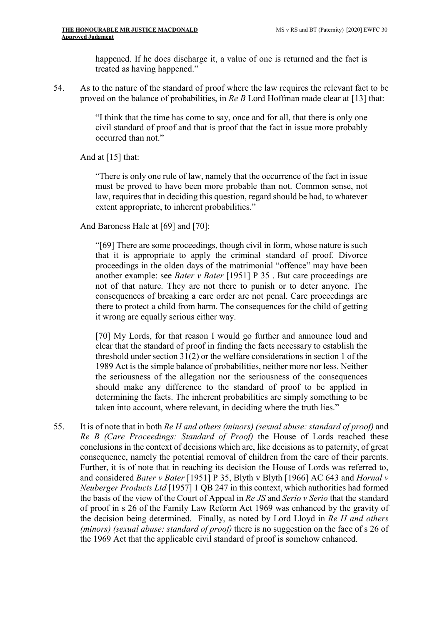happened. If he does discharge it, a value of one is returned and the fact is treated as having happened."

54. As to the nature of the standard of proof where the law requires the relevant fact to be proved on the balance of probabilities, in Re B Lord Hoffman made clear at [13] that:

> "I think that the time has come to say, once and for all, that there is only one civil standard of proof and that is proof that the fact in issue more probably occurred than not."

And at [15] that:

"There is only one rule of law, namely that the occurrence of the fact in issue must be proved to have been more probable than not. Common sense, not law, requires that in deciding this question, regard should be had, to whatever extent appropriate, to inherent probabilities."

And Baroness Hale at [69] and [70]:

"[69] There are some proceedings, though civil in form, whose nature is such that it is appropriate to apply the criminal standard of proof. Divorce proceedings in the olden days of the matrimonial "offence" may have been another example: see Bater v Bater [1951] P 35 . But care proceedings are not of that nature. They are not there to punish or to deter anyone. The consequences of breaking a care order are not penal. Care proceedings are there to protect a child from harm. The consequences for the child of getting it wrong are equally serious either way.

[70] My Lords, for that reason I would go further and announce loud and clear that the standard of proof in finding the facts necessary to establish the threshold under section 31(2) or the welfare considerations in section 1 of the 1989 Act is the simple balance of probabilities, neither more nor less. Neither the seriousness of the allegation nor the seriousness of the consequences should make any difference to the standard of proof to be applied in determining the facts. The inherent probabilities are simply something to be taken into account, where relevant, in deciding where the truth lies."

55. It is of note that in both Re H and others (minors) (sexual abuse: standard of proof) and Re B (Care Proceedings: Standard of Proof) the House of Lords reached these conclusions in the context of decisions which are, like decisions as to paternity, of great consequence, namely the potential removal of children from the care of their parents. Further, it is of note that in reaching its decision the House of Lords was referred to, and considered Bater v Bater [1951] P 35, Blyth v Blyth [1966] AC 643 and Hornal v Neuberger Products Ltd [1957] 1 QB 247 in this context, which authorities had formed the basis of the view of the Court of Appeal in Re JS and Serio v Serio that the standard of proof in s 26 of the Family Law Reform Act 1969 was enhanced by the gravity of the decision being determined. Finally, as noted by Lord Lloyd in Re H and others (minors) (sexual abuse: standard of proof) there is no suggestion on the face of s 26 of the 1969 Act that the applicable civil standard of proof is somehow enhanced.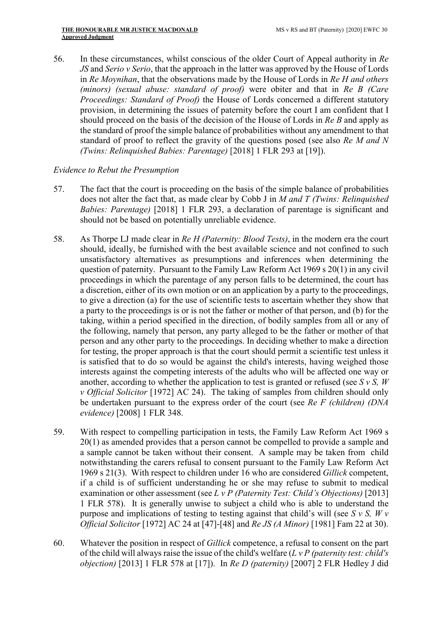56. In these circumstances, whilst conscious of the older Court of Appeal authority in Re JS and Serio v Serio, that the approach in the latter was approved by the House of Lords in Re Moynihan, that the observations made by the House of Lords in Re H and others (minors) (sexual abuse: standard of proof) were obiter and that in Re B (Care Proceedings: Standard of Proof) the House of Lords concerned a different statutory provision, in determining the issues of paternity before the court I am confident that I should proceed on the basis of the decision of the House of Lords in Re B and apply as the standard of proof the simple balance of probabilities without any amendment to that standard of proof to reflect the gravity of the questions posed (see also Re M and N (Twins: Relinquished Babies: Parentage) [2018] 1 FLR 293 at [19]).

### Evidence to Rebut the Presumption

- 57. The fact that the court is proceeding on the basis of the simple balance of probabilities does not alter the fact that, as made clear by Cobb J in M and T (Twins: Relinquished Babies: Parentage) [2018] 1 FLR 293, a declaration of parentage is significant and should not be based on potentially unreliable evidence.
- 58. As Thorpe LJ made clear in Re H (Paternity: Blood Tests), in the modern era the court should, ideally, be furnished with the best available science and not confined to such unsatisfactory alternatives as presumptions and inferences when determining the question of paternity. Pursuant to the Family Law Reform Act 1969 s 20(1) in any civil proceedings in which the parentage of any person falls to be determined, the court has a discretion, either of its own motion or on an application by a party to the proceedings, to give a direction (a) for the use of scientific tests to ascertain whether they show that a party to the proceedings is or is not the father or mother of that person, and (b) for the taking, within a period specified in the direction, of bodily samples from all or any of the following, namely that person, any party alleged to be the father or mother of that person and any other party to the proceedings. In deciding whether to make a direction for testing, the proper approach is that the court should permit a scientific test unless it is satisfied that to do so would be against the child's interests, having weighed those interests against the competing interests of the adults who will be affected one way or another, according to whether the application to test is granted or refused (see  $S v S$ , W v Official Solicitor [1972] AC 24). The taking of samples from children should only be undertaken pursuant to the express order of the court (see Re F (children) (DNA evidence) [2008] 1 FLR 348.
- 59. With respect to compelling participation in tests, the Family Law Reform Act 1969 s 20(1) as amended provides that a person cannot be compelled to provide a sample and a sample cannot be taken without their consent. A sample may be taken from child notwithstanding the carers refusal to consent pursuant to the Family Law Reform Act 1969 s 21(3). With respect to children under 16 who are considered Gillick competent, if a child is of sufficient understanding he or she may refuse to submit to medical examination or other assessment (see L v P (Paternity Test: Child's Objections) [2013] 1 FLR 578). It is generally unwise to subject a child who is able to understand the purpose and implications of testing to testing against that child's will (see S  $v$  S, W  $v$ Official Solicitor [1972] AC 24 at [47]-[48] and Re JS (A Minor) [1981] Fam 22 at 30).
- 60. Whatever the position in respect of Gillick competence, a refusal to consent on the part of the child will always raise the issue of the child's welfare  $(L v P$  (paternity test: child's objection) [2013] 1 FLR 578 at [17]). In Re D (paternity) [2007] 2 FLR Hedley J did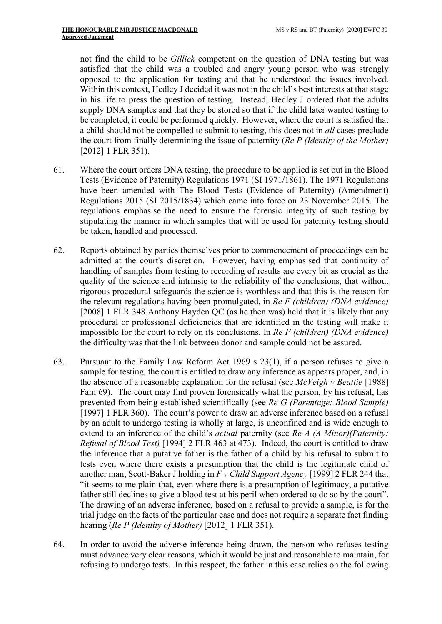not find the child to be Gillick competent on the question of DNA testing but was satisfied that the child was a troubled and angry young person who was strongly opposed to the application for testing and that he understood the issues involved. Within this context, Hedley J decided it was not in the child's best interests at that stage in his life to press the question of testing. Instead, Hedley J ordered that the adults supply DNA samples and that they be stored so that if the child later wanted testing to be completed, it could be performed quickly. However, where the court is satisfied that a child should not be compelled to submit to testing, this does not in all cases preclude the court from finally determining the issue of paternity (Re P (Identity of the Mother) [2012] 1 FLR 351).

- 61. Where the court orders DNA testing, the procedure to be applied is set out in the Blood Tests (Evidence of Paternity) Regulations 1971 (SI 1971/1861). The 1971 Regulations have been amended with The Blood Tests (Evidence of Paternity) (Amendment) Regulations 2015 (SI 2015/1834) which came into force on 23 November 2015. The regulations emphasise the need to ensure the forensic integrity of such testing by stipulating the manner in which samples that will be used for paternity testing should be taken, handled and processed.
- 62. Reports obtained by parties themselves prior to commencement of proceedings can be admitted at the court's discretion. However, having emphasised that continuity of handling of samples from testing to recording of results are every bit as crucial as the quality of the science and intrinsic to the reliability of the conclusions, that without rigorous procedural safeguards the science is worthless and that this is the reason for the relevant regulations having been promulgated, in Re F (children) (DNA evidence) [2008] 1 FLR 348 Anthony Hayden QC (as he then was) held that it is likely that any procedural or professional deficiencies that are identified in the testing will make it impossible for the court to rely on its conclusions. In Re  $F$  (children) (DNA evidence) the difficulty was that the link between donor and sample could not be assured.
- 63. Pursuant to the Family Law Reform Act 1969 s 23(1), if a person refuses to give a sample for testing, the court is entitled to draw any inference as appears proper, and, in the absence of a reasonable explanation for the refusal (see McVeigh v Beattie [1988] Fam 69). The court may find proven forensically what the person, by his refusal, has prevented from being established scientifically (see Re G (Parentage: Blood Sample) [1997] 1 FLR 360). The court's power to draw an adverse inference based on a refusal by an adult to undergo testing is wholly at large, is unconfined and is wide enough to extend to an inference of the child's *actual* paternity (see Re A (A Minor)(Paternity: Refusal of Blood Test) [1994] 2 FLR 463 at 473). Indeed, the court is entitled to draw the inference that a putative father is the father of a child by his refusal to submit to tests even where there exists a presumption that the child is the legitimate child of another man, Scott-Baker J holding in  $F v$  Child Support Agency [1999] 2 FLR 244 that "it seems to me plain that, even where there is a presumption of legitimacy, a putative father still declines to give a blood test at his peril when ordered to do so by the court". The drawing of an adverse inference, based on a refusal to provide a sample, is for the trial judge on the facts of the particular case and does not require a separate fact finding hearing (Re P (Identity of Mother) [2012] 1 FLR 351).
- 64. In order to avoid the adverse inference being drawn, the person who refuses testing must advance very clear reasons, which it would be just and reasonable to maintain, for refusing to undergo tests. In this respect, the father in this case relies on the following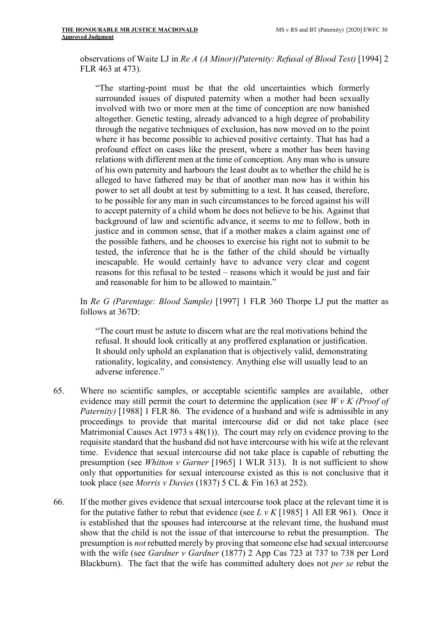observations of Waite LJ in Re A (A Minor)(Paternity: Refusal of Blood Test) [1994] 2 FLR 463 at 473).

"The starting-point must be that the old uncertainties which formerly surrounded issues of disputed paternity when a mother had been sexually involved with two or more men at the time of conception are now banished altogether. Genetic testing, already advanced to a high degree of probability through the negative techniques of exclusion, has now moved on to the point where it has become possible to achieved positive certainty. That has had a profound effect on cases like the present, where a mother has been having relations with different men at the time of conception. Any man who is unsure of his own paternity and harbours the least doubt as to whether the child he is alleged to have fathered may be that of another man now has it within his power to set all doubt at test by submitting to a test. It has ceased, therefore, to be possible for any man in such circumstances to be forced against his will to accept paternity of a child whom he does not believe to be his. Against that background of law and scientific advance, it seems to me to follow, both in justice and in common sense, that if a mother makes a claim against one of the possible fathers, and he chooses to exercise his right not to submit to be tested, the inference that he is the father of the child should be virtually inescapable. He would certainly have to advance very clear and cogent reasons for this refusal to be tested – reasons which it would be just and fair and reasonable for him to be allowed to maintain."

In Re G (Parentage: Blood Sample) [1997] 1 FLR 360 Thorpe LJ put the matter as follows at 367D:

"The court must be astute to discern what are the real motivations behind the refusal. It should look critically at any proffered explanation or justification. It should only uphold an explanation that is objectively valid, demonstrating rationality, logicality, and consistency. Anything else will usually lead to an adverse inference."

- 65. Where no scientific samples, or acceptable scientific samples are available, other evidence may still permit the court to determine the application (see  $WvK$  (Proof of Paternity) [1988] 1 FLR 86. The evidence of a husband and wife is admissible in any proceedings to provide that marital intercourse did or did not take place (see Matrimonial Causes Act 1973 s 48(1)). The court may rely on evidence proving to the requisite standard that the husband did not have intercourse with his wife at the relevant time. Evidence that sexual intercourse did not take place is capable of rebutting the presumption (see Whitton v Garner [1965] 1 WLR 313). It is not sufficient to show only that opportunities for sexual intercourse existed as this is not conclusive that it took place (see Morris v Davies (1837) 5 CL & Fin 163 at 252).
- 66. If the mother gives evidence that sexual intercourse took place at the relevant time it is for the putative father to rebut that evidence (see L v K [1985] 1 All ER 961). Once it is established that the spouses had intercourse at the relevant time, the husband must show that the child is not the issue of that intercourse to rebut the presumption. The presumption is not rebutted merely by proving that someone else had sexual intercourse with the wife (see Gardner v Gardner (1877) 2 App Cas 723 at 737 to 738 per Lord Blackburn). The fact that the wife has committed adultery does not per se rebut the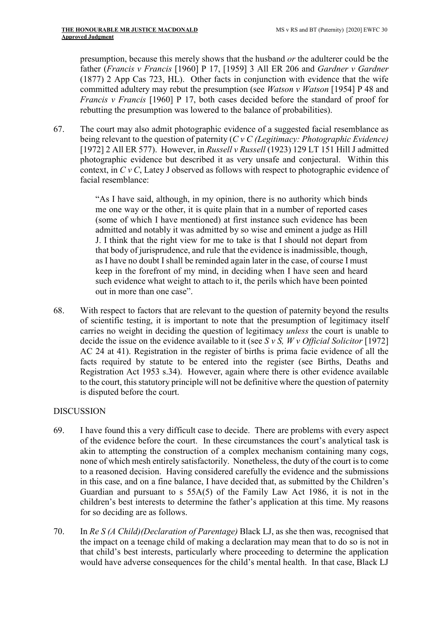presumption, because this merely shows that the husband or the adulterer could be the father (Francis v Francis [1960] P 17, [1959] 3 All ER 206 and Gardner v Gardner (1877) 2 App Cas 723, HL). Other facts in conjunction with evidence that the wife committed adultery may rebut the presumption (see *Watson v Watson* [1954] P 48 and Francis v Francis [1960] P 17, both cases decided before the standard of proof for rebutting the presumption was lowered to the balance of probabilities).

67. The court may also admit photographic evidence of a suggested facial resemblance as being relevant to the question of paternity ( $C$  v  $C$  (Legitimacy: Photographic Evidence) [1972] 2 All ER 577). However, in Russell v Russell (1923) 129 LT 151 Hill J admitted photographic evidence but described it as very unsafe and conjectural. Within this context, in  $C v C$ , Latey J observed as follows with respect to photographic evidence of facial resemblance:

> "As I have said, although, in my opinion, there is no authority which binds me one way or the other, it is quite plain that in a number of reported cases (some of which I have mentioned) at first instance such evidence has been admitted and notably it was admitted by so wise and eminent a judge as Hill J. I think that the right view for me to take is that I should not depart from that body of jurisprudence, and rule that the evidence is inadmissible, though, as I have no doubt I shall be reminded again later in the case, of course I must keep in the forefront of my mind, in deciding when I have seen and heard such evidence what weight to attach to it, the perils which have been pointed out in more than one case".

68. With respect to factors that are relevant to the question of paternity beyond the results of scientific testing, it is important to note that the presumption of legitimacy itself carries no weight in deciding the question of legitimacy unless the court is unable to decide the issue on the evidence available to it (see S v S,  $Wv$  Official Solicitor [1972] AC 24 at 41). Registration in the register of births is prima facie evidence of all the facts required by statute to be entered into the register (see Births, Deaths and Registration Act 1953 s.34). However, again where there is other evidence available to the court, this statutory principle will not be definitive where the question of paternity is disputed before the court.

## DISCUSSION

- 69. I have found this a very difficult case to decide. There are problems with every aspect of the evidence before the court. In these circumstances the court's analytical task is akin to attempting the construction of a complex mechanism containing many cogs, none of which mesh entirely satisfactorily. Nonetheless, the duty of the court is to come to a reasoned decision. Having considered carefully the evidence and the submissions in this case, and on a fine balance, I have decided that, as submitted by the Children's Guardian and pursuant to s 55A(5) of the Family Law Act 1986, it is not in the children's best interests to determine the father's application at this time. My reasons for so deciding are as follows.
- 70. In Re S (A Child)(Declaration of Parentage) Black LJ, as she then was, recognised that the impact on a teenage child of making a declaration may mean that to do so is not in that child's best interests, particularly where proceeding to determine the application would have adverse consequences for the child's mental health. In that case, Black LJ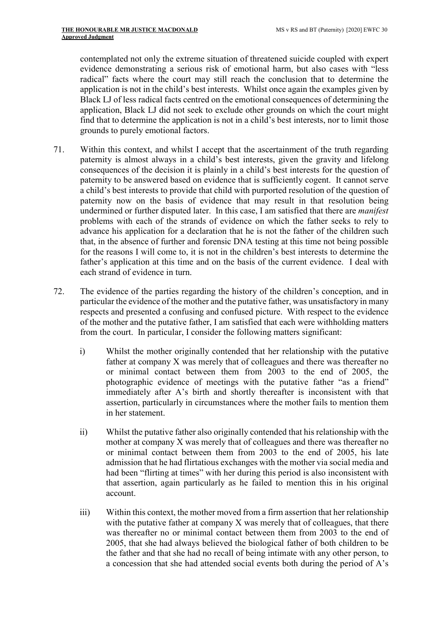contemplated not only the extreme situation of threatened suicide coupled with expert evidence demonstrating a serious risk of emotional harm, but also cases with "less radical" facts where the court may still reach the conclusion that to determine the application is not in the child's best interests. Whilst once again the examples given by Black LJ of less radical facts centred on the emotional consequences of determining the application, Black LJ did not seek to exclude other grounds on which the court might find that to determine the application is not in a child's best interests, nor to limit those grounds to purely emotional factors.

- 71. Within this context, and whilst I accept that the ascertainment of the truth regarding paternity is almost always in a child's best interests, given the gravity and lifelong consequences of the decision it is plainly in a child's best interests for the question of paternity to be answered based on evidence that is sufficiently cogent. It cannot serve a child's best interests to provide that child with purported resolution of the question of paternity now on the basis of evidence that may result in that resolution being undermined or further disputed later. In this case, I am satisfied that there are *manifest* problems with each of the strands of evidence on which the father seeks to rely to advance his application for a declaration that he is not the father of the children such that, in the absence of further and forensic DNA testing at this time not being possible for the reasons I will come to, it is not in the children's best interests to determine the father's application at this time and on the basis of the current evidence. I deal with each strand of evidence in turn.
- 72. The evidence of the parties regarding the history of the children's conception, and in particular the evidence of the mother and the putative father, was unsatisfactory in many respects and presented a confusing and confused picture. With respect to the evidence of the mother and the putative father, I am satisfied that each were withholding matters from the court. In particular, I consider the following matters significant:
	- i) Whilst the mother originally contended that her relationship with the putative father at company X was merely that of colleagues and there was thereafter no or minimal contact between them from 2003 to the end of 2005, the photographic evidence of meetings with the putative father "as a friend" immediately after A's birth and shortly thereafter is inconsistent with that assertion, particularly in circumstances where the mother fails to mention them in her statement.
	- ii) Whilst the putative father also originally contended that his relationship with the mother at company X was merely that of colleagues and there was thereafter no or minimal contact between them from 2003 to the end of 2005, his late admission that he had flirtatious exchanges with the mother via social media and had been "flirting at times" with her during this period is also inconsistent with that assertion, again particularly as he failed to mention this in his original account.
	- iii) Within this context, the mother moved from a firm assertion that her relationship with the putative father at company X was merely that of colleagues, that there was thereafter no or minimal contact between them from 2003 to the end of 2005, that she had always believed the biological father of both children to be the father and that she had no recall of being intimate with any other person, to a concession that she had attended social events both during the period of A's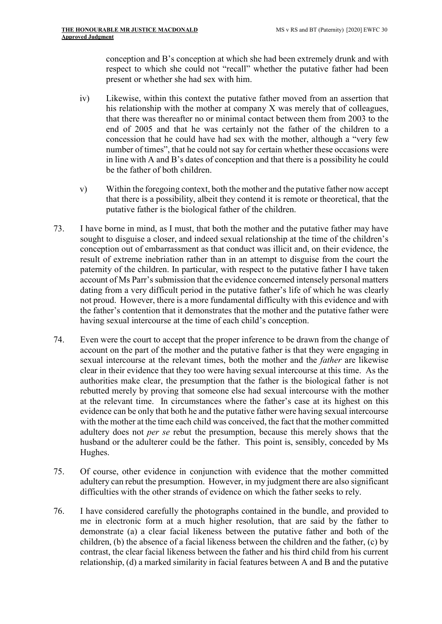conception and B's conception at which she had been extremely drunk and with respect to which she could not "recall" whether the putative father had been present or whether she had sex with him.

- iv) Likewise, within this context the putative father moved from an assertion that his relationship with the mother at company X was merely that of colleagues, that there was thereafter no or minimal contact between them from 2003 to the end of 2005 and that he was certainly not the father of the children to a concession that he could have had sex with the mother, although a "very few number of times", that he could not say for certain whether these occasions were in line with A and B's dates of conception and that there is a possibility he could be the father of both children.
- v) Within the foregoing context, both the mother and the putative father now accept that there is a possibility, albeit they contend it is remote or theoretical, that the putative father is the biological father of the children.
- 73. I have borne in mind, as I must, that both the mother and the putative father may have sought to disguise a closer, and indeed sexual relationship at the time of the children's conception out of embarrassment as that conduct was illicit and, on their evidence, the result of extreme inebriation rather than in an attempt to disguise from the court the paternity of the children. In particular, with respect to the putative father I have taken account of Ms Parr's submission that the evidence concerned intensely personal matters dating from a very difficult period in the putative father's life of which he was clearly not proud. However, there is a more fundamental difficulty with this evidence and with the father's contention that it demonstrates that the mother and the putative father were having sexual intercourse at the time of each child's conception.
- 74. Even were the court to accept that the proper inference to be drawn from the change of account on the part of the mother and the putative father is that they were engaging in sexual intercourse at the relevant times, both the mother and the father are likewise clear in their evidence that they too were having sexual intercourse at this time. As the authorities make clear, the presumption that the father is the biological father is not rebutted merely by proving that someone else had sexual intercourse with the mother at the relevant time. In circumstances where the father's case at its highest on this evidence can be only that both he and the putative father were having sexual intercourse with the mother at the time each child was conceived, the fact that the mother committed adultery does not per se rebut the presumption, because this merely shows that the husband or the adulterer could be the father. This point is, sensibly, conceded by Ms Hughes.
- 75. Of course, other evidence in conjunction with evidence that the mother committed adultery can rebut the presumption. However, in my judgment there are also significant difficulties with the other strands of evidence on which the father seeks to rely.
- 76. I have considered carefully the photographs contained in the bundle, and provided to me in electronic form at a much higher resolution, that are said by the father to demonstrate (a) a clear facial likeness between the putative father and both of the children, (b) the absence of a facial likeness between the children and the father, (c) by contrast, the clear facial likeness between the father and his third child from his current relationship, (d) a marked similarity in facial features between A and B and the putative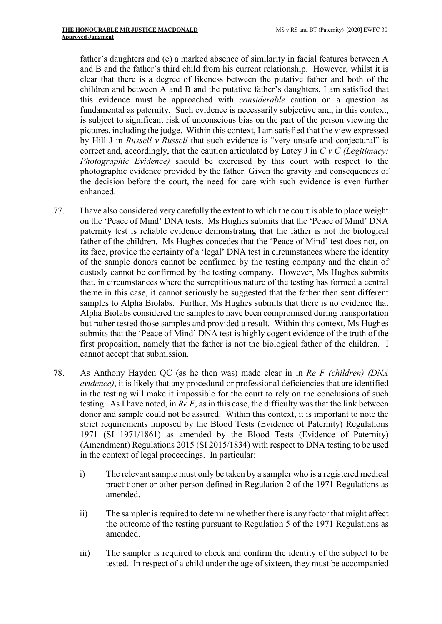father's daughters and (e) a marked absence of similarity in facial features between A and B and the father's third child from his current relationship. However, whilst it is clear that there is a degree of likeness between the putative father and both of the children and between A and B and the putative father's daughters, I am satisfied that this evidence must be approached with considerable caution on a question as fundamental as paternity. Such evidence is necessarily subjective and, in this context, is subject to significant risk of unconscious bias on the part of the person viewing the pictures, including the judge. Within this context, I am satisfied that the view expressed by Hill J in Russell v Russell that such evidence is "very unsafe and conjectural" is correct and, accordingly, that the caution articulated by Latey J in  $C$  v  $C$  (Legitimacy: Photographic Evidence) should be exercised by this court with respect to the photographic evidence provided by the father. Given the gravity and consequences of the decision before the court, the need for care with such evidence is even further enhanced.

- 77. I have also considered very carefully the extent to which the court is able to place weight on the 'Peace of Mind' DNA tests. Ms Hughes submits that the 'Peace of Mind' DNA paternity test is reliable evidence demonstrating that the father is not the biological father of the children. Ms Hughes concedes that the 'Peace of Mind' test does not, on its face, provide the certainty of a 'legal' DNA test in circumstances where the identity of the sample donors cannot be confirmed by the testing company and the chain of custody cannot be confirmed by the testing company. However, Ms Hughes submits that, in circumstances where the surreptitious nature of the testing has formed a central theme in this case, it cannot seriously be suggested that the father then sent different samples to Alpha Biolabs. Further, Ms Hughes submits that there is no evidence that Alpha Biolabs considered the samples to have been compromised during transportation but rather tested those samples and provided a result. Within this context, Ms Hughes submits that the 'Peace of Mind' DNA test is highly cogent evidence of the truth of the first proposition, namely that the father is not the biological father of the children. I cannot accept that submission.
- 78. As Anthony Hayden QC (as he then was) made clear in in Re F (children) (DNA evidence), it is likely that any procedural or professional deficiencies that are identified in the testing will make it impossible for the court to rely on the conclusions of such testing. As I have noted, in  $Re F$ , as in this case, the difficulty was that the link between donor and sample could not be assured. Within this context, it is important to note the strict requirements imposed by the Blood Tests (Evidence of Paternity) Regulations 1971 (SI 1971/1861) as amended by the Blood Tests (Evidence of Paternity) (Amendment) Regulations 2015 (SI 2015/1834) with respect to DNA testing to be used in the context of legal proceedings. In particular:
	- i) The relevant sample must only be taken by a sampler who is a registered medical practitioner or other person defined in Regulation 2 of the 1971 Regulations as amended.
	- ii) The sampler is required to determine whether there is any factor that might affect the outcome of the testing pursuant to Regulation 5 of the 1971 Regulations as amended.
	- iii) The sampler is required to check and confirm the identity of the subject to be tested. In respect of a child under the age of sixteen, they must be accompanied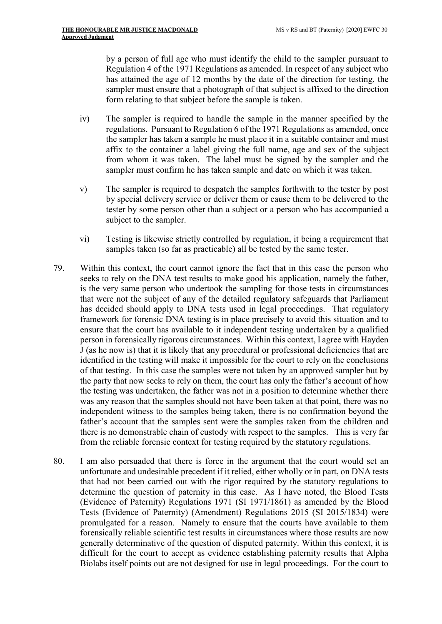by a person of full age who must identify the child to the sampler pursuant to Regulation 4 of the 1971 Regulations as amended. In respect of any subject who has attained the age of 12 months by the date of the direction for testing, the sampler must ensure that a photograph of that subject is affixed to the direction form relating to that subject before the sample is taken.

- iv) The sampler is required to handle the sample in the manner specified by the regulations. Pursuant to Regulation 6 of the 1971 Regulations as amended, once the sampler has taken a sample he must place it in a suitable container and must affix to the container a label giving the full name, age and sex of the subject from whom it was taken. The label must be signed by the sampler and the sampler must confirm he has taken sample and date on which it was taken.
- v) The sampler is required to despatch the samples forthwith to the tester by post by special delivery service or deliver them or cause them to be delivered to the tester by some person other than a subject or a person who has accompanied a subject to the sampler.
- vi) Testing is likewise strictly controlled by regulation, it being a requirement that samples taken (so far as practicable) all be tested by the same tester.
- 79. Within this context, the court cannot ignore the fact that in this case the person who seeks to rely on the DNA test results to make good his application, namely the father, is the very same person who undertook the sampling for those tests in circumstances that were not the subject of any of the detailed regulatory safeguards that Parliament has decided should apply to DNA tests used in legal proceedings. That regulatory framework for forensic DNA testing is in place precisely to avoid this situation and to ensure that the court has available to it independent testing undertaken by a qualified person in forensically rigorous circumstances. Within this context, I agree with Hayden J (as he now is) that it is likely that any procedural or professional deficiencies that are identified in the testing will make it impossible for the court to rely on the conclusions of that testing. In this case the samples were not taken by an approved sampler but by the party that now seeks to rely on them, the court has only the father's account of how the testing was undertaken, the father was not in a position to determine whether there was any reason that the samples should not have been taken at that point, there was no independent witness to the samples being taken, there is no confirmation beyond the father's account that the samples sent were the samples taken from the children and there is no demonstrable chain of custody with respect to the samples. This is very far from the reliable forensic context for testing required by the statutory regulations.
- 80. I am also persuaded that there is force in the argument that the court would set an unfortunate and undesirable precedent if it relied, either wholly or in part, on DNA tests that had not been carried out with the rigor required by the statutory regulations to determine the question of paternity in this case. As I have noted, the Blood Tests (Evidence of Paternity) Regulations 1971 (SI 1971/1861) as amended by the Blood Tests (Evidence of Paternity) (Amendment) Regulations 2015 (SI 2015/1834) were promulgated for a reason. Namely to ensure that the courts have available to them forensically reliable scientific test results in circumstances where those results are now generally determinative of the question of disputed paternity. Within this context, it is difficult for the court to accept as evidence establishing paternity results that Alpha Biolabs itself points out are not designed for use in legal proceedings. For the court to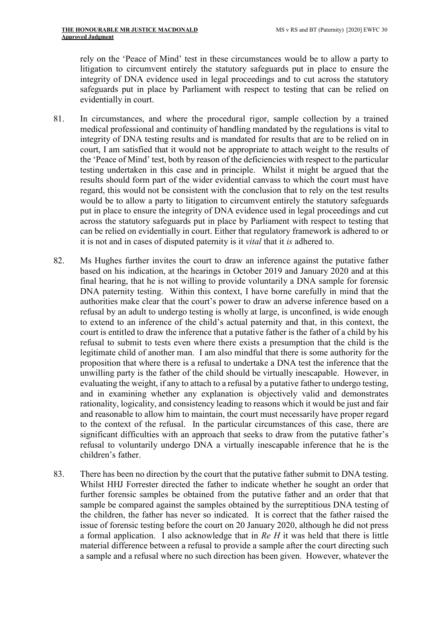rely on the 'Peace of Mind' test in these circumstances would be to allow a party to litigation to circumvent entirely the statutory safeguards put in place to ensure the integrity of DNA evidence used in legal proceedings and to cut across the statutory safeguards put in place by Parliament with respect to testing that can be relied on evidentially in court.

- 81. In circumstances, and where the procedural rigor, sample collection by a trained medical professional and continuity of handling mandated by the regulations is vital to integrity of DNA testing results and is mandated for results that are to be relied on in court, I am satisfied that it would not be appropriate to attach weight to the results of the 'Peace of Mind' test, both by reason of the deficiencies with respect to the particular testing undertaken in this case and in principle. Whilst it might be argued that the results should form part of the wider evidential canvass to which the court must have regard, this would not be consistent with the conclusion that to rely on the test results would be to allow a party to litigation to circumvent entirely the statutory safeguards put in place to ensure the integrity of DNA evidence used in legal proceedings and cut across the statutory safeguards put in place by Parliament with respect to testing that can be relied on evidentially in court. Either that regulatory framework is adhered to or it is not and in cases of disputed paternity is it vital that it is adhered to.
- 82. Ms Hughes further invites the court to draw an inference against the putative father based on his indication, at the hearings in October 2019 and January 2020 and at this final hearing, that he is not willing to provide voluntarily a DNA sample for forensic DNA paternity testing. Within this context, I have borne carefully in mind that the authorities make clear that the court's power to draw an adverse inference based on a refusal by an adult to undergo testing is wholly at large, is unconfined, is wide enough to extend to an inference of the child's actual paternity and that, in this context, the court is entitled to draw the inference that a putative father is the father of a child by his refusal to submit to tests even where there exists a presumption that the child is the legitimate child of another man. I am also mindful that there is some authority for the proposition that where there is a refusal to undertake a DNA test the inference that the unwilling party is the father of the child should be virtually inescapable. However, in evaluating the weight, if any to attach to a refusal by a putative father to undergo testing, and in examining whether any explanation is objectively valid and demonstrates rationality, logicality, and consistency leading to reasons which it would be just and fair and reasonable to allow him to maintain, the court must necessarily have proper regard to the context of the refusal. In the particular circumstances of this case, there are significant difficulties with an approach that seeks to draw from the putative father's refusal to voluntarily undergo DNA a virtually inescapable inference that he is the children's father.
- 83. There has been no direction by the court that the putative father submit to DNA testing. Whilst HHJ Forrester directed the father to indicate whether he sought an order that further forensic samples be obtained from the putative father and an order that that sample be compared against the samples obtained by the surreptitious DNA testing of the children, the father has never so indicated. It is correct that the father raised the issue of forensic testing before the court on 20 January 2020, although he did not press a formal application. I also acknowledge that in  $Re H$  it was held that there is little material difference between a refusal to provide a sample after the court directing such a sample and a refusal where no such direction has been given. However, whatever the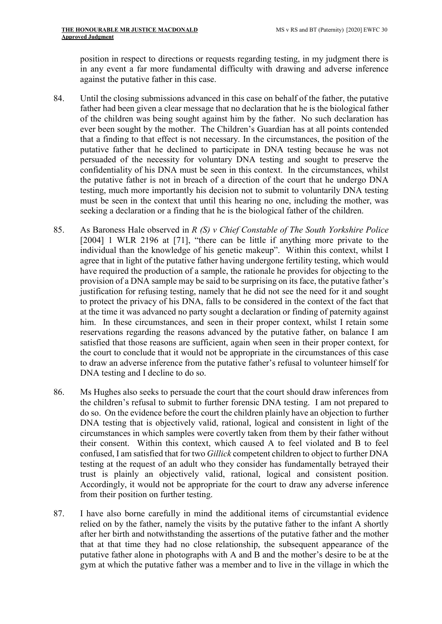position in respect to directions or requests regarding testing, in my judgment there is in any event a far more fundamental difficulty with drawing and adverse inference against the putative father in this case.

- 84. Until the closing submissions advanced in this case on behalf of the father, the putative father had been given a clear message that no declaration that he is the biological father of the children was being sought against him by the father. No such declaration has ever been sought by the mother. The Children's Guardian has at all points contended that a finding to that effect is not necessary. In the circumstances, the position of the putative father that he declined to participate in DNA testing because he was not persuaded of the necessity for voluntary DNA testing and sought to preserve the confidentiality of his DNA must be seen in this context. In the circumstances, whilst the putative father is not in breach of a direction of the court that he undergo DNA testing, much more importantly his decision not to submit to voluntarily DNA testing must be seen in the context that until this hearing no one, including the mother, was seeking a declaration or a finding that he is the biological father of the children.
- 85. As Baroness Hale observed in  $R(S)$  v Chief Constable of The South Yorkshire Police [2004] 1 WLR 2196 at [71], "there can be little if anything more private to the individual than the knowledge of his genetic makeup". Within this context, whilst I agree that in light of the putative father having undergone fertility testing, which would have required the production of a sample, the rationale he provides for objecting to the provision of a DNA sample may be said to be surprising on its face, the putative father's justification for refusing testing, namely that he did not see the need for it and sought to protect the privacy of his DNA, falls to be considered in the context of the fact that at the time it was advanced no party sought a declaration or finding of paternity against him. In these circumstances, and seen in their proper context, whilst I retain some reservations regarding the reasons advanced by the putative father, on balance I am satisfied that those reasons are sufficient, again when seen in their proper context, for the court to conclude that it would not be appropriate in the circumstances of this case to draw an adverse inference from the putative father's refusal to volunteer himself for DNA testing and I decline to do so.
- 86. Ms Hughes also seeks to persuade the court that the court should draw inferences from the children's refusal to submit to further forensic DNA testing. I am not prepared to do so. On the evidence before the court the children plainly have an objection to further DNA testing that is objectively valid, rational, logical and consistent in light of the circumstances in which samples were covertly taken from them by their father without their consent. Within this context, which caused A to feel violated and B to feel confused, I am satisfied that for two Gillick competent children to object to further DNA testing at the request of an adult who they consider has fundamentally betrayed their trust is plainly an objectively valid, rational, logical and consistent position. Accordingly, it would not be appropriate for the court to draw any adverse inference from their position on further testing.
- 87. I have also borne carefully in mind the additional items of circumstantial evidence relied on by the father, namely the visits by the putative father to the infant A shortly after her birth and notwithstanding the assertions of the putative father and the mother that at that time they had no close relationship, the subsequent appearance of the putative father alone in photographs with A and B and the mother's desire to be at the gym at which the putative father was a member and to live in the village in which the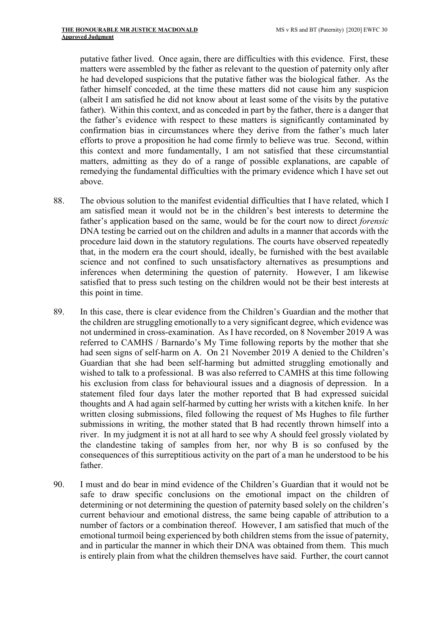putative father lived. Once again, there are difficulties with this evidence. First, these matters were assembled by the father as relevant to the question of paternity only after he had developed suspicions that the putative father was the biological father. As the father himself conceded, at the time these matters did not cause him any suspicion (albeit I am satisfied he did not know about at least some of the visits by the putative father). Within this context, and as conceded in part by the father, there is a danger that the father's evidence with respect to these matters is significantly contaminated by confirmation bias in circumstances where they derive from the father's much later efforts to prove a proposition he had come firmly to believe was true. Second, within this context and more fundamentally, I am not satisfied that these circumstantial matters, admitting as they do of a range of possible explanations, are capable of remedying the fundamental difficulties with the primary evidence which I have set out above.

- 88. The obvious solution to the manifest evidential difficulties that I have related, which I am satisfied mean it would not be in the children's best interests to determine the father's application based on the same, would be for the court now to direct forensic DNA testing be carried out on the children and adults in a manner that accords with the procedure laid down in the statutory regulations. The courts have observed repeatedly that, in the modern era the court should, ideally, be furnished with the best available science and not confined to such unsatisfactory alternatives as presumptions and inferences when determining the question of paternity. However, I am likewise satisfied that to press such testing on the children would not be their best interests at this point in time.
- 89. In this case, there is clear evidence from the Children's Guardian and the mother that the children are struggling emotionally to a very significant degree, which evidence was not undermined in cross-examination. As I have recorded, on 8 November 2019 A was referred to CAMHS / Barnardo's My Time following reports by the mother that she had seen signs of self-harm on A. On 21 November 2019 A denied to the Children's Guardian that she had been self-harming but admitted struggling emotionally and wished to talk to a professional. B was also referred to CAMHS at this time following his exclusion from class for behavioural issues and a diagnosis of depression. In a statement filed four days later the mother reported that B had expressed suicidal thoughts and A had again self-harmed by cutting her wrists with a kitchen knife. In her written closing submissions, filed following the request of Ms Hughes to file further submissions in writing, the mother stated that B had recently thrown himself into a river. In my judgment it is not at all hard to see why A should feel grossly violated by the clandestine taking of samples from her, nor why B is so confused by the consequences of this surreptitious activity on the part of a man he understood to be his father.
- 90. I must and do bear in mind evidence of the Children's Guardian that it would not be safe to draw specific conclusions on the emotional impact on the children of determining or not determining the question of paternity based solely on the children's current behaviour and emotional distress, the same being capable of attribution to a number of factors or a combination thereof. However, I am satisfied that much of the emotional turmoil being experienced by both children stems from the issue of paternity, and in particular the manner in which their DNA was obtained from them. This much is entirely plain from what the children themselves have said. Further, the court cannot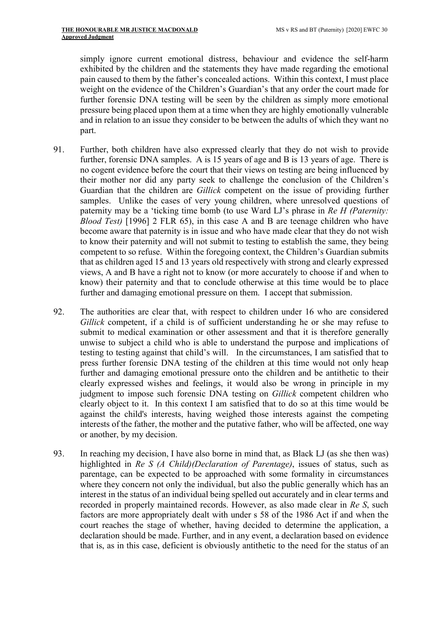simply ignore current emotional distress, behaviour and evidence the self-harm exhibited by the children and the statements they have made regarding the emotional pain caused to them by the father's concealed actions. Within this context, I must place weight on the evidence of the Children's Guardian's that any order the court made for further forensic DNA testing will be seen by the children as simply more emotional pressure being placed upon them at a time when they are highly emotionally vulnerable and in relation to an issue they consider to be between the adults of which they want no part.

- 91. Further, both children have also expressed clearly that they do not wish to provide further, forensic DNA samples. A is 15 years of age and B is 13 years of age. There is no cogent evidence before the court that their views on testing are being influenced by their mother nor did any party seek to challenge the conclusion of the Children's Guardian that the children are Gillick competent on the issue of providing further samples. Unlike the cases of very young children, where unresolved questions of paternity may be a 'ticking time bomb (to use Ward LJ's phrase in Re H (Paternity: Blood Test) [1996] 2 FLR 65), in this case A and B are teenage children who have become aware that paternity is in issue and who have made clear that they do not wish to know their paternity and will not submit to testing to establish the same, they being competent to so refuse. Within the foregoing context, the Children's Guardian submits that as children aged 15 and 13 years old respectively with strong and clearly expressed views, A and B have a right not to know (or more accurately to choose if and when to know) their paternity and that to conclude otherwise at this time would be to place further and damaging emotional pressure on them. I accept that submission.
- 92. The authorities are clear that, with respect to children under 16 who are considered Gillick competent, if a child is of sufficient understanding he or she may refuse to submit to medical examination or other assessment and that it is therefore generally unwise to subject a child who is able to understand the purpose and implications of testing to testing against that child's will. In the circumstances, I am satisfied that to press further forensic DNA testing of the children at this time would not only heap further and damaging emotional pressure onto the children and be antithetic to their clearly expressed wishes and feelings, it would also be wrong in principle in my judgment to impose such forensic DNA testing on Gillick competent children who clearly object to it. In this context I am satisfied that to do so at this time would be against the child's interests, having weighed those interests against the competing interests of the father, the mother and the putative father, who will be affected, one way or another, by my decision.
- 93. In reaching my decision, I have also borne in mind that, as Black LJ (as she then was) highlighted in Re S (A Child)(Declaration of Parentage), issues of status, such as parentage, can be expected to be approached with some formality in circumstances where they concern not only the individual, but also the public generally which has an interest in the status of an individual being spelled out accurately and in clear terms and recorded in properly maintained records. However, as also made clear in Re S, such factors are more appropriately dealt with under s 58 of the 1986 Act if and when the court reaches the stage of whether, having decided to determine the application, a declaration should be made. Further, and in any event, a declaration based on evidence that is, as in this case, deficient is obviously antithetic to the need for the status of an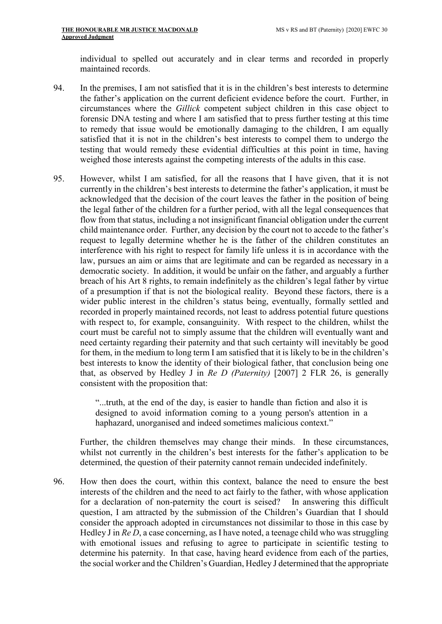individual to spelled out accurately and in clear terms and recorded in properly maintained records.

- 94. In the premises, I am not satisfied that it is in the children's best interests to determine the father's application on the current deficient evidence before the court. Further, in circumstances where the Gillick competent subject children in this case object to forensic DNA testing and where I am satisfied that to press further testing at this time to remedy that issue would be emotionally damaging to the children, I am equally satisfied that it is not in the children's best interests to compel them to undergo the testing that would remedy these evidential difficulties at this point in time, having weighed those interests against the competing interests of the adults in this case.
- 95. However, whilst I am satisfied, for all the reasons that I have given, that it is not currently in the children's best interests to determine the father's application, it must be acknowledged that the decision of the court leaves the father in the position of being the legal father of the children for a further period, with all the legal consequences that flow from that status, including a not insignificant financial obligation under the current child maintenance order. Further, any decision by the court not to accede to the father's request to legally determine whether he is the father of the children constitutes an interference with his right to respect for family life unless it is in accordance with the law, pursues an aim or aims that are legitimate and can be regarded as necessary in a democratic society. In addition, it would be unfair on the father, and arguably a further breach of his Art 8 rights, to remain indefinitely as the children's legal father by virtue of a presumption if that is not the biological reality. Beyond these factors, there is a wider public interest in the children's status being, eventually, formally settled and recorded in properly maintained records, not least to address potential future questions with respect to, for example, consanguinity. With respect to the children, whilst the court must be careful not to simply assume that the children will eventually want and need certainty regarding their paternity and that such certainty will inevitably be good for them, in the medium to long term I am satisfied that it is likely to be in the children's best interests to know the identity of their biological father, that conclusion being one that, as observed by Hedley J in Re D (Paternity) [2007] 2 FLR 26, is generally consistent with the proposition that:

"...truth, at the end of the day, is easier to handle than fiction and also it is designed to avoid information coming to a young person's attention in a haphazard, unorganised and indeed sometimes malicious context."

Further, the children themselves may change their minds. In these circumstances, whilst not currently in the children's best interests for the father's application to be determined, the question of their paternity cannot remain undecided indefinitely.

96. How then does the court, within this context, balance the need to ensure the best interests of the children and the need to act fairly to the father, with whose application for a declaration of non-paternity the court is seised? In answering this difficult question, I am attracted by the submission of the Children's Guardian that I should consider the approach adopted in circumstances not dissimilar to those in this case by Hedley J in Re D, a case concerning, as I have noted, a teenage child who was struggling with emotional issues and refusing to agree to participate in scientific testing to determine his paternity. In that case, having heard evidence from each of the parties, the social worker and the Children's Guardian, Hedley J determined that the appropriate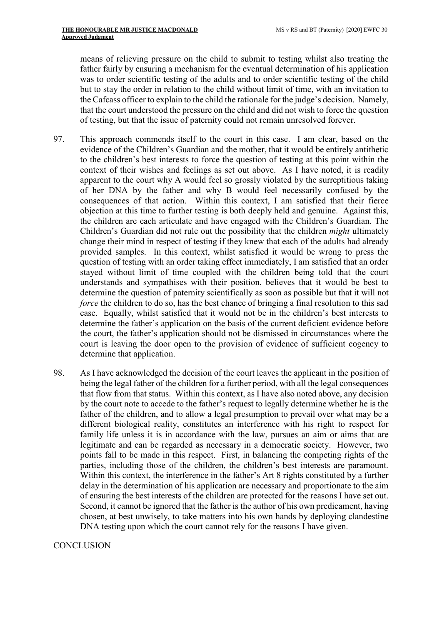means of relieving pressure on the child to submit to testing whilst also treating the father fairly by ensuring a mechanism for the eventual determination of his application was to order scientific testing of the adults and to order scientific testing of the child but to stay the order in relation to the child without limit of time, with an invitation to the Cafcass officer to explain to the child the rationale for the judge's decision. Namely, that the court understood the pressure on the child and did not wish to force the question of testing, but that the issue of paternity could not remain unresolved forever.

- 97. This approach commends itself to the court in this case. I am clear, based on the evidence of the Children's Guardian and the mother, that it would be entirely antithetic to the children's best interests to force the question of testing at this point within the context of their wishes and feelings as set out above. As I have noted, it is readily apparent to the court why A would feel so grossly violated by the surreptitious taking of her DNA by the father and why B would feel necessarily confused by the consequences of that action. Within this context, I am satisfied that their fierce objection at this time to further testing is both deeply held and genuine. Against this, the children are each articulate and have engaged with the Children's Guardian. The Children's Guardian did not rule out the possibility that the children might ultimately change their mind in respect of testing if they knew that each of the adults had already provided samples. In this context, whilst satisfied it would be wrong to press the question of testing with an order taking effect immediately, I am satisfied that an order stayed without limit of time coupled with the children being told that the court understands and sympathises with their position, believes that it would be best to determine the question of paternity scientifically as soon as possible but that it will not force the children to do so, has the best chance of bringing a final resolution to this sad case. Equally, whilst satisfied that it would not be in the children's best interests to determine the father's application on the basis of the current deficient evidence before the court, the father's application should not be dismissed in circumstances where the court is leaving the door open to the provision of evidence of sufficient cogency to determine that application.
- 98. As I have acknowledged the decision of the court leaves the applicant in the position of being the legal father of the children for a further period, with all the legal consequences that flow from that status. Within this context, as I have also noted above, any decision by the court note to accede to the father's request to legally determine whether he is the father of the children, and to allow a legal presumption to prevail over what may be a different biological reality, constitutes an interference with his right to respect for family life unless it is in accordance with the law, pursues an aim or aims that are legitimate and can be regarded as necessary in a democratic society. However, two points fall to be made in this respect. First, in balancing the competing rights of the parties, including those of the children, the children's best interests are paramount. Within this context, the interference in the father's Art 8 rights constituted by a further delay in the determination of his application are necessary and proportionate to the aim of ensuring the best interests of the children are protected for the reasons I have set out. Second, it cannot be ignored that the father is the author of his own predicament, having chosen, at best unwisely, to take matters into his own hands by deploying clandestine DNA testing upon which the court cannot rely for the reasons I have given.

#### **CONCLUSION**